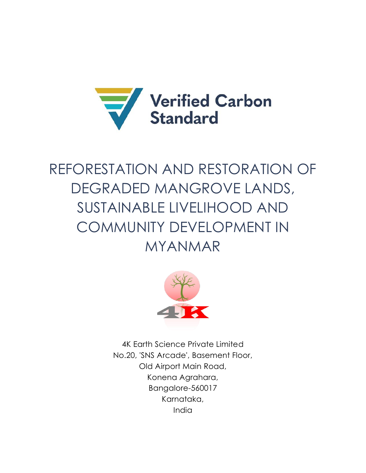

# REFORESTATION AND RESTORATION OF DEGRADED MANGROVE LANDS, SUSTAINABLE LIVELIHOOD AND COMMUNITY DEVELOPMENT IN MYANMAR



4K Earth Science Private Limited No.20, 'SNS Arcade', Basement Floor, Old Airport Main Road, Konena Agrahara, Bangalore-560017 Karnataka, India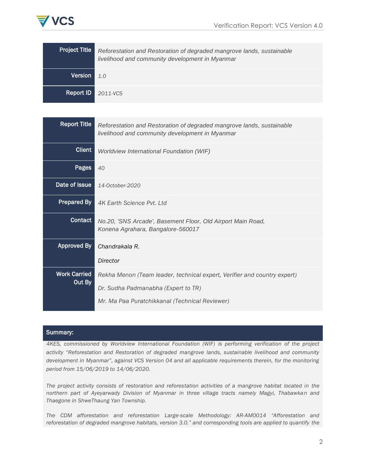

| <b>Project Title</b> | Reforestation and Restoration of degraded mangrove lands, sustainable<br>livelihood and community development in Myanmar |
|----------------------|--------------------------------------------------------------------------------------------------------------------------|
| Version              | 10                                                                                                                       |
| Report ID            | 2011-VCS                                                                                                                 |

| <b>Report Title</b>           | Reforestation and Restoration of degraded mangrove lands, sustainable<br>livelihood and community development in Myanmar |
|-------------------------------|--------------------------------------------------------------------------------------------------------------------------|
| <b>Client</b>                 | Worldview International Foundation (WIF)                                                                                 |
| Pages                         | 40                                                                                                                       |
| Date of Issue                 | 14-October-2020                                                                                                          |
| <b>Prepared By</b>            | 4K Earth Science Pyt. Ltd.                                                                                               |
| Contact                       | No.20, 'SNS Arcade', Basement Floor, Old Airport Main Road,<br>Konena Agrahara, Bangalore-560017                         |
| <b>Approved By</b>            | Chandrakala R.                                                                                                           |
|                               | Director                                                                                                                 |
| <b>Work Carried</b><br>Out By | Rekha Menon (Team leader, technical expert, Verifier and country expert)                                                 |
|                               | Dr. Sudha Padmanabha (Expert to TR)                                                                                      |
|                               | Mr. Ma Paa Puratchikkanal (Technical Reviewer)                                                                           |

#### Summary:

*4KES, commissioned by Worldview International Foundation (WIF) is performing verification of the project activity "Reforestation and Restoration of degraded mangrove lands, sustainable livelihood and community development in Myanmar", against VCS Version 04 and all applicable requirements therein, for the monitoring period from 15/06/2019 to 14/06/2020.*

*The project activity consists of restoration and reforestation activities of a mangrove habitat located in the northern part of Ayeyarwady Division of Myanmar in three village tracts namely Magyi, Thabawkan and Thaegone in ShweThaung Yan Township.*

*The CDM afforestation and reforestation Large-scale Methodology: AR-AM0014 "Afforestation and reforestation of degraded mangrove habitats, version 3.0." and corresponding tools are applied to quantify the*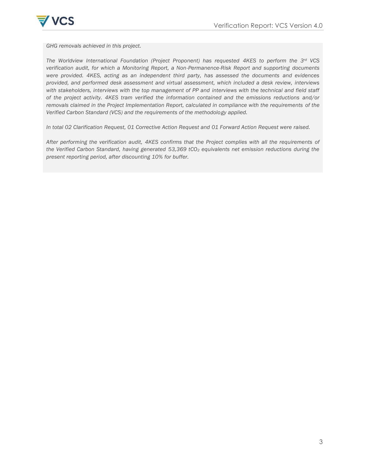

*GHG removals achieved in this project.*

*The Worldview International Foundation (Project Proponent) has requested 4KES to perform the 3rd VCS verification audit, for which a Monitoring Report, a Non-Permanence-Risk Report and supporting documents were provided. 4KES, acting as an independent third party, has assessed the documents and evidences provided, and performed desk assessment and virtual assessment, which included a desk review, interviews with stakeholders, interviews with the top management of PP and interviews with the technical and field staff of the project activity. 4KES tram verified the information contained and the emissions reductions and/or removals claimed in the Project Implementation Report, calculated in compliance with the requirements of the Verified Carbon Standard (VCS) and the requirements of the methodology applied.*

*In total 02 Clarification Request, 01 Corrective Action Request and 01 Forward Action Request were raised.*

*After performing the verification audit, 4KES confirms that the Project complies with all the requirements of the Verified Carbon Standard, having generated 53,369 tCO<sup>2</sup> equivalents net emission reductions during the present reporting period, after discounting 10% for buffer.*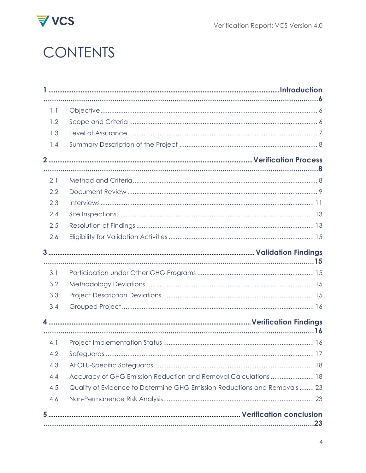

# VCS<br>CONTENTS

| 1.1 |                                                                          |
|-----|--------------------------------------------------------------------------|
| 1.2 |                                                                          |
| 1.3 |                                                                          |
| 1.4 |                                                                          |
|     |                                                                          |
|     |                                                                          |
| 2.1 |                                                                          |
| 2.2 |                                                                          |
| 2.3 |                                                                          |
| 2.4 |                                                                          |
| 2.5 |                                                                          |
| 2.6 |                                                                          |
|     |                                                                          |
|     |                                                                          |
| 3.1 |                                                                          |
| 3.2 |                                                                          |
| 3.3 |                                                                          |
| 3.4 |                                                                          |
|     |                                                                          |
|     |                                                                          |
| 4.1 |                                                                          |
| 4.2 |                                                                          |
| 4.3 |                                                                          |
| 4.4 | Accuracy of GHG Emission Reduction and Removal Calculations  18          |
| 4.5 | Quality of Evidence to Determine GHG Emission Reductions and Removals 23 |
| 4.6 |                                                                          |
|     |                                                                          |
|     | 23                                                                       |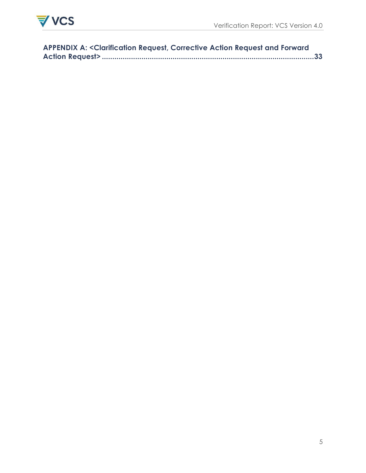

| <b>APPENDIX A: &lt; Clarification Request, Corrective Action Request and Forward</b> |  |
|--------------------------------------------------------------------------------------|--|
|                                                                                      |  |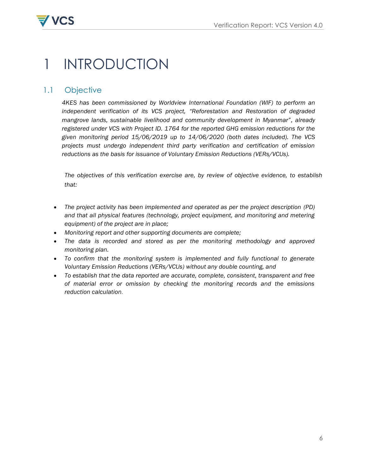

# <span id="page-5-0"></span>1 INTRODUCTION

# <span id="page-5-2"></span><span id="page-5-1"></span>1.1 Objective

*4KES has been commissioned by Worldview International Foundation (WIF) to perform an independent verification of its VCS project, "Reforestation and Restoration of degraded mangrove lands, sustainable livelihood and community development in Myanmar", already registered under VCS with Project ID. 1764 for the reported GHG emission reductions for the given monitoring period 15/06/2019 up to 14/06/2020 (both dates included). The VCS projects must undergo independent third party verification and certification of emission reductions as the basis for issuance of Voluntary Emission Reductions (VERs/VCUs).*

*The objectives of this verification exercise are, by review of objective evidence, to establish that:*

- *The project activity has been implemented and operated as per the project description (PD) and that all physical features (technology, project equipment, and monitoring and metering equipment) of the project are in place;*
- *Monitoring report and other supporting documents are complete;*
- The data is recorded and stored as per the monitoring methodology and approved *monitoring plan.*
- To confirm that the monitoring system is implemented and fully functional to generate *Voluntary Emission Reductions (VERs/VCUs) without any double counting, and*
- *To establish that the data reported are accurate, complete, consistent, transparent and free of material error or omission by checking the monitoring records and the emissions reduction calculation.*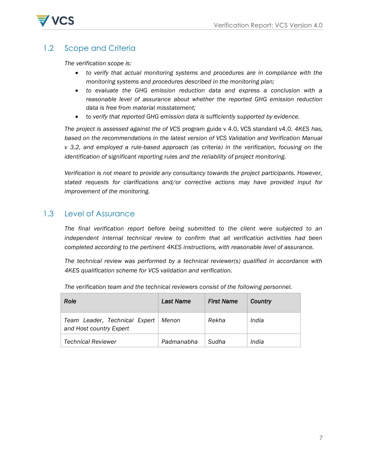

# 1.2 Scope and Criteria

*The verification scope is:* 

- *to verify that actual monitoring systems and procedures are in compliance with the monitoring systems and procedures described in the monitoring plan;*
- *to evaluate the GHG emission reduction data and express a conclusion with a reasonable level of assurance about whether the reported GHG emission reduction data is free from material misstatement;*
- *to verify that reported GHG emission data is sufficiently supported by evidence.*

*The project is assessed against the of VCS* program guide v 4.0, VCS standard v4.0*. 4KES has, based on the recommendations in the latest version of VCS Validation and Verification Manual v 3.2, and employed a rule-based approach (as criteria) in the verification, focusing on the identification of significant reporting rules and the reliability of project monitoring.* 

*Verification is not meant to provide any consultancy towards the project participants. However, stated requests for clarifications and/or corrective actions may have provided input for improvement of the monitoring.*

# <span id="page-6-0"></span>1.3 Level of Assurance

*The final verification report before being submitted to the client were subjected to an independent internal technical review to confirm that all verification activities had been completed according to the pertinent 4KES instructions, with reasonable level of assurance.*

*The technical review was performed by a technical reviewer(s) qualified in accordance with 4KES qualification scheme for VCS validation and verification.*

<span id="page-6-1"></span>

| <b>Role</b>                                              | <b>Last Name</b> | <b>First Name</b> | Country |
|----------------------------------------------------------|------------------|-------------------|---------|
| Team Leader, Technical Expert<br>and Host country Expert | Menon            | Rekha             | India   |
| <b>Technical Reviewer</b>                                | Padmanabha       | Sudha             | India   |

*The verification team and the technical reviewers consist of the following personnel.*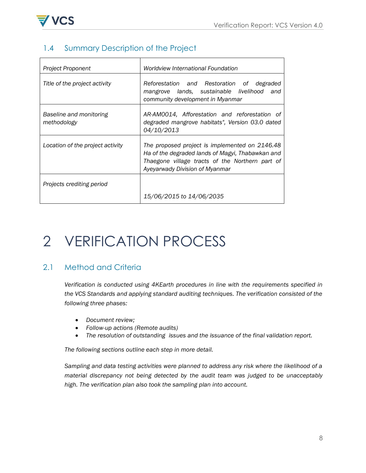

# 1.4 Summary Description of the Project

| Project Proponent                      | <b>Worldview International Foundation</b>                                                                                                                                               |
|----------------------------------------|-----------------------------------------------------------------------------------------------------------------------------------------------------------------------------------------|
| Title of the project activity          | Reforestation and Restoration of degraded<br>mangrove lands, sustainable livelihood<br>and<br>community development in Myanmar                                                          |
| Baseline and monitoring<br>methodology | AR-AM0014, Afforestation and reforestation of<br>degraded mangrove habitats", Version 03.0 dated<br>04/10/2013                                                                          |
| Location of the project activity       | The proposed project is implemented on 2146.48<br>Ha of the degraded lands of Magyi, Thabawkan and<br>Thaegone village tracts of the Northern part of<br>Ayeyarwady Division of Myanmar |
| Projects crediting period              | 15/06/2015 to 14/06/2035                                                                                                                                                                |

# <span id="page-7-0"></span>2 VERIFICATION PROCESS

# <span id="page-7-1"></span>2.1 Method and Criteria

*Verification is conducted using 4KEarth procedures in line with the requirements specified in the VCS Standards and applying standard auditing techniques. The verification consisted of the following three phases:* 

- *Document review;*
- *Follow-up actions (Remote audits)*
- *The resolution of outstanding issues and the issuance of the final validation report.*

*The following sections outline each step in more detail.* 

*Sampling and data testing activities were planned to address any risk where the likelihood of a material discrepancy not being detected by the audit team was judged to be unacceptably high. The verification plan also took the sampling plan into account.*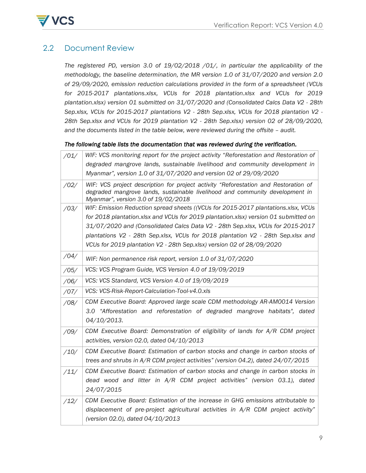

# <span id="page-8-0"></span>2.2 Document Review

*The registered PD, version 3.0 of 19/02/2018 /01/, in particular the applicability of the methodology, the baseline determination, the MR version 1.0 of 31/07/2020 and version 2.0 of 29/09/2020, emission reduction calculations provided in the form of a spreadsheet (VCUs for 2015-2017 plantations.xlsx, VCUs for 2018 plantation.xlsx and VCUs for 2019 plantation.xlsx) version 01 submitted on 31/07/2020 and (Consolidated Calcs Data V2 - 28th Sep.xlsx, VCUs for 2015-2017 plantations V2 - 28th Sep.xlsx, VCUs for 2018 plantation V2 - 28th Sep.xlsx and VCUs for 2019 plantation V2 - 28th Sep.xlsx) version 02 of 28/09/2020, and the documents listed in the table below, were reviewed during the offsite – audit.*

#### *The following table lists the documentation that was reviewed during the verification.*

| /01/ | WIF: VCS monitoring report for the project activity "Reforestation and Restoration of                                                                                                                      |
|------|------------------------------------------------------------------------------------------------------------------------------------------------------------------------------------------------------------|
|      | degraded mangrove lands, sustainable livelihood and community development in                                                                                                                               |
|      | Myanmar", version 1.0 of 31/07/2020 and version 02 of 29/09/2020                                                                                                                                           |
| /02/ | WIF: VCS project description for project activity "Reforestation and Restoration of<br>degraded mangrove lands, sustainable livelihood and community development in<br>Myanmar", version 3.0 of 19/02/2018 |
| /03/ | WIF: Emission Reduction spread sheets ((VCUs for 2015-2017 plantations.xlsx, VCUs                                                                                                                          |
|      | for 2018 plantation.xlsx and VCUs for 2019 plantation.xlsx) version 01 submitted on                                                                                                                        |
|      | 31/07/2020 and (Consolidated Calcs Data V2 - 28th Sep.xlsx, VCUs for 2015-2017                                                                                                                             |
|      | plantations V2 - 28th Sep.xlsx, VCUs for 2018 plantation V2 - 28th Sep.xlsx and                                                                                                                            |
|      | VCUs for 2019 plantation V2 - 28th Sep.xlsx) version 02 of 28/09/2020                                                                                                                                      |
| /04/ | WIF: Non permanence risk report, version 1.0 of 31/07/2020                                                                                                                                                 |
| /05/ | VCS: VCS Program Guide, VCS Version 4.0 of 19/09/2019                                                                                                                                                      |
| /06/ | VCS: VCS Standard, VCS Version 4.0 of 19/09/2019                                                                                                                                                           |
| /07/ | VCS: VCS-Risk-Report-Calculation-Tool-v4.0.xls                                                                                                                                                             |
| /08/ | CDM Executive Board: Approved large scale CDM methodology AR-AM0014 Version                                                                                                                                |
|      | 3.0 "Afforestation and reforestation of degraded mangrove habitats", dated<br>04/10/2013.                                                                                                                  |
| /09/ | CDM Executive Board: Demonstration of eligibility of lands for A/R CDM project<br>activities, version 02.0, dated 04/10/2013                                                                               |
| /10/ | CDM Executive Board: Estimation of carbon stocks and change in carbon stocks of<br>trees and shrubs in A/R CDM project activities" (version 04.2), dated 24/07/2015                                        |
| /11/ | CDM Executive Board: Estimation of carbon stocks and change in carbon stocks in<br>dead wood and litter in $A/R$ CDM project activities" (version 03.1), dated<br>24/07/2015                               |
| /12/ | CDM Executive Board: Estimation of the increase in GHG emissions attributable to<br>displacement of pre-project agricultural activities in $A/R$ CDM project activity"<br>(version 02.0), dated 04/10/2013 |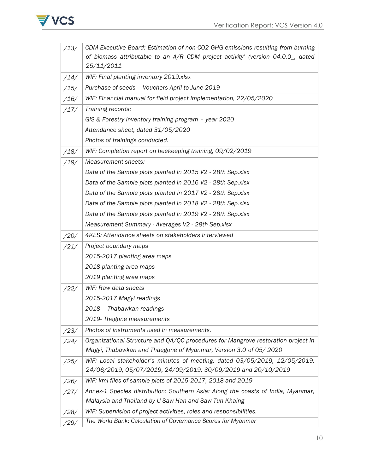

| /13/ | CDM Executive Board: Estimation of non-CO2 GHG emissions resulting from burning   |
|------|-----------------------------------------------------------------------------------|
|      | of biomass attributable to an A/R CDM project activity' (version 04.0.0_, dated   |
|      | 25/11/2011                                                                        |
| /14/ | WIF: Final planting inventory 2019.xlsx                                           |
| /15/ | Purchase of seeds - Vouchers April to June 2019                                   |
| /16/ | WIF: Financial manual for field project implementation, 22/05/2020                |
| /17/ | Training records:                                                                 |
|      | GIS & Forestry inventory training program - year 2020                             |
|      | Attendance sheet, dated 31/05/2020                                                |
|      | Photos of trainings conducted.                                                    |
| /18/ | WIF: Completion report on beekeeping training, 09/02/2019                         |
| /19/ | Measurement sheets:                                                               |
|      | Data of the Sample plots planted in 2015 V2 - 28th Sep.xlsx                       |
|      | Data of the Sample plots planted in 2016 V2 - 28th Sep.xlsx                       |
|      | Data of the Sample plots planted in 2017 V2 - 28th Sep.xlsx                       |
|      | Data of the Sample plots planted in 2018 V2 - 28th Sep.xlsx                       |
|      | Data of the Sample plots planted in 2019 V2 - 28th Sep.xlsx                       |
|      | Measurement Summary - Averages V2 - 28th Sep.xlsx                                 |
| /20/ | 4KES: Attendance sheets on stakeholders interviewed                               |
| /21/ | Project boundary maps                                                             |
|      | 2015-2017 planting area maps                                                      |
|      | 2018 planting area maps                                                           |
|      | 2019 planting area maps                                                           |
| /22/ | WIF: Raw data sheets                                                              |
|      | 2015-2017 Magyi readings                                                          |
|      | 2018 - Thabawkan readings                                                         |
|      | 2019- Thegone measurements                                                        |
| /23/ | Photos of instruments used in measurements.                                       |
| /24/ | Organizational Structure and QA/QC procedures for Mangrove restoration project in |
|      | Magyi, Thabawkan and Thaegone of Myanmar, Version 3.0 of 05/2020                  |
| /25/ | WIF: Local stakeholder's minutes of meeting, dated 03/05/2019, 12/05/2019,        |
|      | 24/06/2019, 05/07/2019, 24/09/2019, 30/09/2019 and 20/10/2019                     |
| /26/ | WIF: kml files of sample plots of 2015-2017, 2018 and 2019                        |
| /27/ | Annex-1 Species distribution: Southern Asia: Along the coasts of India, Myanmar,  |
|      | Malaysia and Thailand by U Saw Han and Saw Tun Khaing                             |
| /28/ | WIF: Supervision of project activities, roles and responsibilities.               |
| /29/ | The World Bank: Calculation of Governance Scores for Myanmar                      |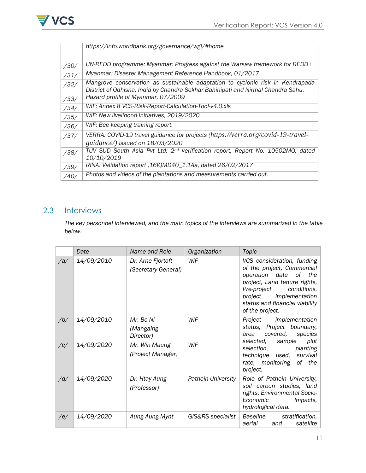

|      | https://info.worldbank.org/governance/wgi/#home                                                                                                                    |
|------|--------------------------------------------------------------------------------------------------------------------------------------------------------------------|
|      |                                                                                                                                                                    |
| /30/ | UN-REDD programme: Myanmar: Progress against the Warsaw framework for REDD+                                                                                        |
| /31/ | Myanmar: Disaster Management Reference Handbook, 01/2017                                                                                                           |
| /32/ | Mangrove conservation as sustainable adaptation to cyclonic risk in Kendrapada<br>District of Odhisha, India by Chandra Sekhar Bahinipati and Nirmal Chandra Sahu. |
| /33/ | Hazard profile of Myanmar, 07/2009                                                                                                                                 |
| /34/ | WIF: Annex 8 VCS-Risk-Report-Calculation-Tool-v4.0.xls                                                                                                             |
| /35/ | WIF: New livelihood initiatives, 2019/2020                                                                                                                         |
| /36/ | WIF: Bee keeping training report.                                                                                                                                  |
| /37/ | VERRA: COVID-19 travel guidance for projects (https://verra.org/covid-19-travel-                                                                                   |
|      | guidance/) issued on 18/03/2020                                                                                                                                    |
| /38/ | TUV SUD South Asia Pvt Ltd: 2 <sup>nd</sup> verification report, Report No. 10502MO, dated<br>10/10/2019                                                           |
| /39/ | RINA: Validation report, 16IQMD40_1.1Aa, dated 26/02/2017                                                                                                          |
| /40/ | Photos and videos of the plantations and measurements carried out.                                                                                                 |

# <span id="page-10-0"></span>2.3 Interviews

*The key personnel interviewed, and the main topics of the interviews are summarized in the table below.* 

|             | Date       | Name and Role                            | Organization              | Topic                                                                                                                                                                                                                                        |
|-------------|------------|------------------------------------------|---------------------------|----------------------------------------------------------------------------------------------------------------------------------------------------------------------------------------------------------------------------------------------|
| /a/         | 14/09/2010 | Dr. Arne Fjortoft<br>(Secretary General) | WIF                       | VCS consideration, funding<br>of the project, Commercial<br>of _<br>operation<br>date<br>the<br>project, Land tenure rights,<br>Pre-project<br>conditions,<br>implementation<br>proiect<br>status and financial viability<br>of the project. |
| /b/         | 14/09/2010 | Mr. Bo Ni<br>(Mangaing<br>Director)      | WIF                       | implementation<br>Project<br>status, Project boundary,<br>covered,<br>species<br>area                                                                                                                                                        |
| $\sqrt{c}/$ | 14/09/2020 | Mr. Win Maung<br>(Project Manager)       | WIF                       | sample<br>plot<br>selected,<br>planting<br>selection,<br>survival<br>technique used,<br>rate, monitoring<br>of<br>the<br>project.                                                                                                            |
| /d/         | 14/09/2020 | Dr. Htay Aung<br>(Professor)             | <b>Pathein University</b> | Role of Pathein University,<br>soil carbon studies, land<br>rights, Environmental Socio-<br>Economic<br>Impacts,<br>hydrological data.                                                                                                       |
| /e/         | 14/09/2020 | Aung Aung Mynt                           | GIS&RS specialist         | Baseline<br>stratification,<br>aerial<br>satellite<br>and                                                                                                                                                                                    |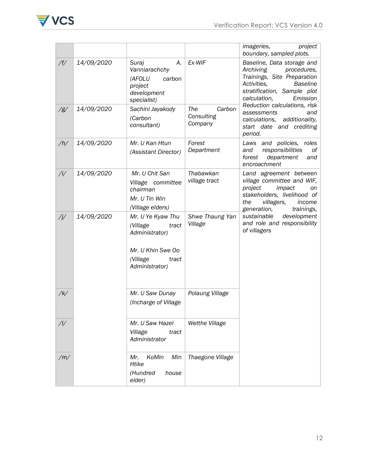

|              |            |                                                                                                                      |                                        | <i>imageries,</i><br>project<br>boundary, sampled plots.                                                                                                                           |
|--------------|------------|----------------------------------------------------------------------------------------------------------------------|----------------------------------------|------------------------------------------------------------------------------------------------------------------------------------------------------------------------------------|
| /f/          | 14/09/2020 | Suraj<br>А.<br>Vanniarachchy<br>(AFOLU<br>carbon<br>project<br>development<br>specialist)                            | Ex-WIF                                 | Baseline, Data storage and<br>procedures,<br>Archiving<br>Trainings, Site Preparation<br><b>Baseline</b><br>Activities,<br>stratification, Sample plot<br>calculation,<br>Emission |
| / g/         | 14/09/2020 | Sachini Jayakody<br>(Carbon<br>consultant)                                                                           | Carbon<br>The<br>Consulting<br>Company | Reduction calculations, risk<br>assessments<br>and<br>additionality,<br>calculations,<br>start date and crediting<br>period.                                                       |
| /h/          | 14/09/2020 | Mr. U Kan Htun<br>(Assistant Director)                                                                               | Forest<br>Department                   | Laws and policies, roles<br>responsibilities<br>оf<br>and<br>department<br>forest<br>and<br>encroachment                                                                           |
| $/$ i/       | 14/09/2020 | Mr. U Chit San<br>Village committee<br>chairman<br>Mr. U Tin Win<br>(Village elders)                                 | Thabawkan<br>village tract             | Land agreement between<br>village committee and WIF,<br>project<br>impact<br>on<br>stakeholders, livelihood of<br>the<br>villagers,<br>income<br>generation,<br>trainings,         |
| $\sqrt{j/2}$ | 14/09/2020 | Mr. U Ye Kyaw Thu<br>(Village<br>tract<br>Administrator)<br>Mr. U Khin Swe Oo<br>(Village<br>tract<br>Administrator) | Shwe Thaung Yan<br>Village             | sustainable<br>development<br>and role and responsibility<br>of villagers                                                                                                          |
| $/$ k $/$    |            | Mr. U Saw Dunay<br>(Incharge of Village                                                                              | Polaung Village                        |                                                                                                                                                                                    |
| /            |            | Mr. U Saw Hazel<br>Village<br>tract<br>Administrator                                                                 | Wetthe Village                         |                                                                                                                                                                                    |
| /m/          |            | KoMin<br>Min<br>Mr.<br>Htike<br>(Hundred<br>house<br>elder)                                                          | Thaegone Village                       |                                                                                                                                                                                    |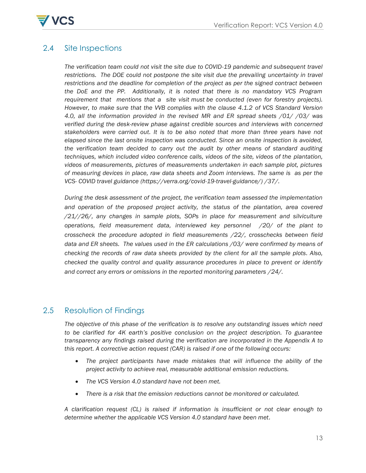

# <span id="page-12-1"></span><span id="page-12-0"></span>2.4 Site Inspections

*The verification team could not visit the site due to COVID-19 pandemic and subsequent travel*  restrictions. The DOE could not postpone the site visit due the prevailing uncertainty in travel *restrictions and the deadline for completion of the project as per the signed contract between the DoE and the PP. Additionally, it is noted that there is no mandatory VCS Program requirement that mentions that a site visit must be conducted (even for forestry projects). However, to make sure that the VVB complies with the clause 4.1.2 of VCS Standard Version 4.0, all the information provided in the revised MR and ER spread sheets /01/ /03/ was verified during the desk-review phase against credible sources and interviews with concerned stakeholders were carried out. It is to be also noted that more than three years have not elapsed since the last onsite inspection was conducted. Since an onsite inspection is avoided, the verification team decided to carry out the audit by other means of standard auditing techniques, which included video conference calls, videos of the site, videos of the plantation, videos of measurements, pictures of measurements undertaken in each sample plot, pictures of measuring devices in place, raw data sheets and Zoom interviews. The same is as per the VCS- COVID travel guidance [\(https://verra.org/covid-19-travel-guidance/\)](https://verra.org/covid-19-travel-guidance/) /37/.* 

*During the desk assessment of the project, the verification team assessed the implementation and operation of the proposed project activity, the status of the plantation, area covered /21//26/, any changes in sample plots, SOPs in place for measurement and silviculture operations, field measurement data, interviewed key personnel /20/ of the plant to crosscheck the procedure adopted in field measurements /22/, crosschecks between field data and ER sheets. The values used in the ER calculations /03/ were confirmed by means of checking the records of raw data sheets provided by the client for all the sample plots. Also, checked the quality control and quality assurance procedures in place to prevent or identify and correct any errors or omissions in the reported monitoring parameters /24/.* 

# 2.5 Resolution of Findings

*The objective of this phase of the verification is to resolve any outstanding issues which need to be clarified for 4K earth"s positive conclusion on the project description. To guarantee transparency any findings raised during the verification are incorporated in the Appendix A to this report. A corrective action request (CAR) is raised if one of the following occurs:* 

- *The project participants have made mistakes that will influence the ability of the project activity to achieve real, measurable additional emission reductions.*
- *The VCS Version 4.0 standard have not been met.*
- *There is a risk that the emission reductions cannot be monitored or calculated.*

*A clarification request (CL) is raised if information is insufficient or not clear enough to determine whether the applicable VCS Version 4.0 standard have been met.*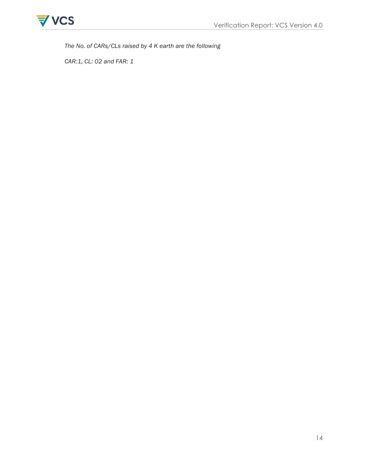

*The No. of CARs/CLs raised by 4 K earth are the following*

*CAR:1, CL: 02 and FAR: 1*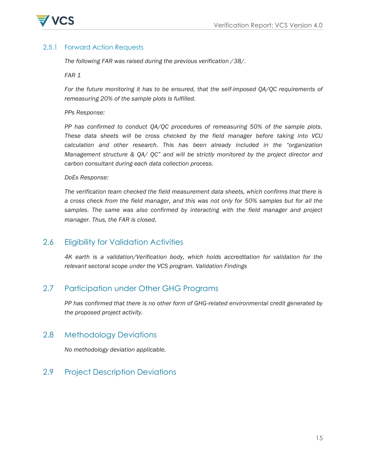

## 2.5.1 Forward Action Requests

*The following FAR was raised during the previous verification /38/.* 

*FAR 1*

*For the future monitoring it has to be ensured, that the self-imposed QA/QC requirements of remeasuring 20% of the sample plots is fulfilled.*

*PPs Response:*

*PP has confirmed to conduct QA/QC procedures of remeasuring 50% of the sample plots. These data sheets will be cross checked by the field manager before taking into VCU*  calculation and other research. This has been already included in the "organization *Management structure & QA/ QC" and will be strictly monitored by the project director and carbon consultant during each data collection process.*

#### *DoEs Response:*

*The verification team checked the field measurement data sheets, which confirms that there is a cross check from the field manager, and this was not only for 50% samples but for all the*  samples. The same was also confirmed by interacting with the field manager and project *manager. Thus, the FAR is closed.*

# <span id="page-14-0"></span>2.6 Eligibility for Validation Activities

<span id="page-14-1"></span>*4K earth is a validation/Verification body, which holds accreditation for validation for the relevant sectoral scope under the VCS program. Validation Findings*

# <span id="page-14-2"></span>2.7 Participation under Other GHG Programs

*PP has confirmed that there is no other form of GHG-related environmental credit generated by the proposed project activity.*

# <span id="page-14-3"></span>2.8 Methodology Deviations

*No methodology deviation applicable.* 

<span id="page-14-4"></span>2.9 Project Description Deviations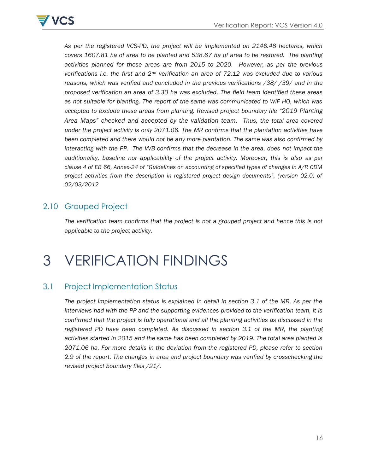

*As per the registered VCS-PD, the project will be implemented on 2146.48 hectares, which covers 1607.81 ha of area to be planted and 538.67 ha of area to be restored. The planting activities planned for these areas are from 2015 to 2020. However, as per the previous verifications i.e. the first and 2nd verification an area of 72.12 was excluded due to various reasons, which was verified and concluded in the previous verifications /38/ /39/ and in the proposed verification an area of 3.30 ha was excluded. The field team identified these areas as not suitable for planting. The report of the same was communicated to WIF HO, which was accepted to exclude these areas from planting. Revised project boundary file "2019 Planting Area Maps" checked and accepted by the validation team. Thus, the total area covered under the project activity is only 2071.06. The MR confirms that the plantation activities have been completed and there would not be any more plantation. The same was also confirmed by interacting with the PP. The VVB confirms that the decrease in the area, does not impact the additionality, baseline nor applicability of the project activity. Moreover, this is also as per clause 4 of EB 66, Annex-24 of "Guidelines on accounting of specified types of changes in A/R CDM project activities from the description in registered project design documents", (version 02.0) of 02/03/2012*

# <span id="page-15-0"></span>2.10 Grouped Project

*The verification team confirms that the project is not a grouped project and hence this is not applicable to the project activity.*

# <span id="page-15-1"></span>3 VERIFICATION FINDINGS

# <span id="page-15-2"></span>3.1 Project Implementation Status

*The project implementation status is explained in detail in section 3.1 of the MR. As per the interviews had with the PP and the supporting evidences provided to the verification team, it is confirmed that the project is fully operational and all the planting activities as discussed in the registered PD have been completed. As discussed in section 3.1 of the MR, the planting activities started in 2015 and the same has been completed by 2019. The total area planted is 2071.06 ha. For more details in the deviation from the registered PD, please refer to section 2.9 of the report. The changes in area and project boundary was verified by crosschecking the revised project boundary files /21/.*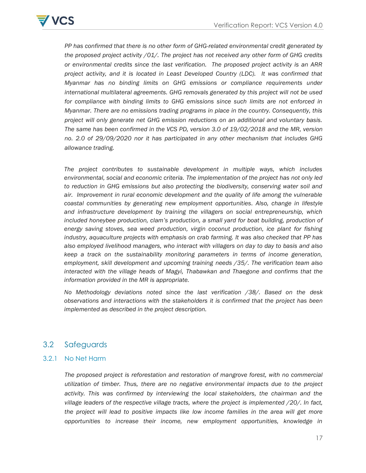

*PP has confirmed that there is no other form of GHG-related environmental credit generated by the proposed project activity /01/. The project has not received any other form of GHG credits or environmental credits since the last verification. The proposed project activity is an ARR project activity, and it is located in Least Developed Country (LDC). It was confirmed that Myanmar has no binding limits on GHG emissions or compliance requirements under international multilateral agreements. GHG removals generated by this project will not be used for compliance with binding limits to GHG emissions since such limits are not enforced in Myanmar. There are no emissions trading programs in place in the country. Consequently, this project will only generate net GHG emission reductions on an additional and voluntary basis. The same has been confirmed in the VCS PD, version 3.0 of 19/02/2018 and the MR, version no. 2.0 of 29/09/2020 nor it has participated in any other mechanism that includes GHG allowance trading.*

*The project contributes to sustainable development in multiple ways, which includes environmental, social and economic criteria. The implementation of the project has not only led to reduction in GHG emissions but also protecting the biodiversity, conserving water soil and air. Improvement in rural economic development and the quality of life among the vulnerable coastal communities by generating new employment opportunities. Also, change in lifestyle and infrastructure development by training the villagers on social entrepreneurship, which included honeybee production, clam"s production, a small yard for boat building, production of energy saving stoves, sea weed production, virgin coconut production, ice plant for fishing industry, aquaculture projects with emphasis on crab farming. It was also checked that PP has also employed livelihood managers, who interact with villagers on day to day to basis and also keep a track on the sustainability monitoring parameters in terms of income generation, employment, skill development and upcoming training needs /35/. The verification team also interacted with the village heads of Magyi, Thabawkan and Thaegone and confirms that the information provided in the MR is appropriate.*

*No Methodology deviations noted since the last verification /38/. Based on the desk observations and interactions with the stakeholders it is confirmed that the project has been implemented as described in the project description.* 

# <span id="page-16-0"></span>3.2 Safeguards

#### 3.2.1 No Net Harm

*The proposed project is reforestation and restoration of mangrove forest, with no commercial utilization of timber. Thus, there are no negative environmental impacts due to the project activity. This was confirmed by interviewing the local stakeholders, the chairman and the village leaders of the respective village tracts, where the project is implemented /20/. In fact, the project will lead to positive impacts like low income families in the area will get more opportunities to increase their income, new employment opportunities, knowledge in*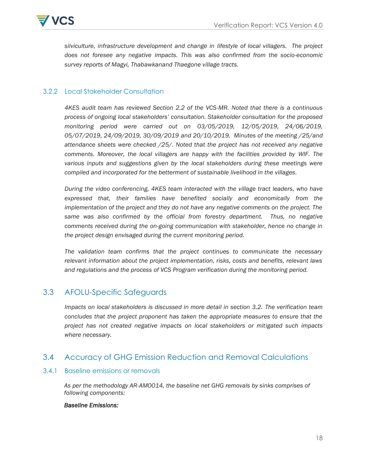

*silviculture, infrastructure development and change in lifestyle of local villagers. The project does not foresee any negative impacts. This was also confirmed from the socio-economic survey reports of Magyi, Thabawkanand Thaegone village tracts.* 

#### 3.2.2 Local Stakeholder Consultation

*4KES audit team has reviewed Section 2.2 of the VCS-MR. Noted that there is a continuous process of ongoing local stakeholders" consultation. Stakeholder consultation for the proposed monitoring period were carried out on 03/05/2019, 12/05/2019, 24/06/2019, 05/07/2019, 24/09/2019, 30/09/2019 and 20/10/2019. Minutes of the meeting /25/and attendance sheets were checked /25/. Noted that the project has not received any negative comments. Moreover, the local villagers are happy with the facilities provided by WIF. The various inputs and suggestions given by the local stakeholders during these meetings were compiled and incorporated for the betterment of sustainable livelihood in the villages.* 

*During the video conferencing, 4KES team interacted with the village tract leaders, who have expressed that, their families have benefited socially and economically from the implementation of the project and they do not have any negative comments on the project. The same was also confirmed by the official from forestry department. Thus, no negative comments received during the on-going communication with stakeholder, hence no change in the project design envisaged during the current monitoring period.* 

*The validation team confirms that the project continues to communicate the necessary relevant information about the project implementation, risks, costs and benefits, relevant laws and regulations and the process of VCS Program verification during the monitoring period.*

# <span id="page-17-0"></span>3.3 AFOLU-Specific Safeguards

*Impacts on local stakeholders is discussed in more detail in section 3.2. The verification team concludes that the project proponent has taken the appropriate measures to ensure that the project has not created negative impacts on local stakeholders or mitigated such impacts where necessary.*

## <span id="page-17-1"></span>3.4 Accuracy of GHG Emission Reduction and Removal Calculations

#### 3.4.1 Baseline emissions or removals

*As per the methodology AR-AM0014, the baseline net GHG removals by sinks comprises of following components:* 

#### *Baseline Emissions:*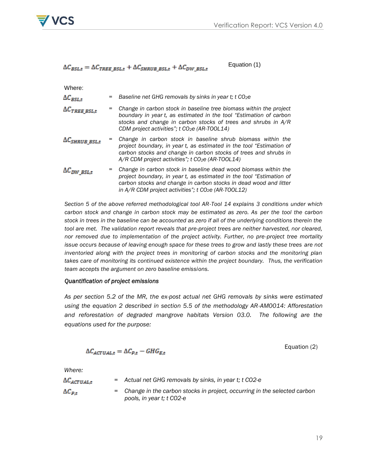

#### Equation (1)  $\Delta C_{BSL,t} = \Delta C_{TREE\_BSL,t} + \Delta C_{SHRUB\_BSL,t} + \Delta C_{DW\_BSL,t}$

Where:

| VIIUU                    |                                                                                                                                                                                                                                                                         |
|--------------------------|-------------------------------------------------------------------------------------------------------------------------------------------------------------------------------------------------------------------------------------------------------------------------|
| $\Delta C_{BSL,t}$       | Baseline net GHG removals by sinks in year t; t CO <sub>2</sub> e                                                                                                                                                                                                       |
| $\Delta C_{TREE\ BSL,t}$ | Change in carbon stock in baseline tree biomass within the project<br>boundary in year t, as estimated in the tool "Estimation of carbon<br>stocks and change in carbon stocks of trees and shrubs in A/R<br>CDM project activities"; t CO <sub>2</sub> e (AR-TOOL14)   |
| $\Delta C_{SHRUB}$ BSL,t | Change in carbon stock in baseline shrub biomass within the<br>project boundary, in year t, as estimated in the tool "Estimation of<br>carbon stocks and change in carbon stocks of trees and shrubs in<br>A/R CDM project activities"; t CO <sub>2</sub> e (AR-TOOL14) |
| $\Delta C_{DW\; BSL,t}$  | Change in carbon stock in baseline dead wood biomass within the<br>project boundary, in year t, as estimated in the tool "Estimation of<br>carbon stocks and change in carbon stocks in dead wood and litter                                                            |

*in A/R CDM project activities"; t CO2e (AR-TOOL12)*

*Section 5 of the above referred methodological tool AR-Tool 14 explains 3 conditions under which carbon stock and change in carbon stock may be estimated as zero. As per the tool the carbon stock in trees in the baseline can be accounted as zero if all of the underlying conditions therein the*  tool are met. The validation report reveals that pre-project trees are neither harvested, nor cleared, *nor removed due to implementation of the project activity. Further, no pre-project tree mortality issue occurs because of leaving enough space for these trees to grow and lastly these trees are not inventoried along with the project trees in monitoring of carbon stocks and the monitoring plan takes care of monitoring its continued existence within the project boundary. Thus, the verification team accepts the argument on zero baseline emissions.*

#### *Quantification of project emissions*

*As per section 5.2 of the MR, the ex-post actual net GHG removals by sinks were estimated using the equation 2 described in section 5.5 of the methodology AR-AM0014: Afforestation and reforestation of degraded mangrove habitats Version 03.0. The following are the equations used for the purpose:* 

$$
\Delta C_{ACTUAL,t} = \Delta C_{P,t} - GHG_{E,t}
$$

Equation (2)

*Where:*

| $\Delta \mathcal{C}_{ACTUAL,t}$ | $=$ Actual net GHG removals by sinks, in year t; t CO2-e                                                |
|---------------------------------|---------------------------------------------------------------------------------------------------------|
| $\Delta C_{p,t}$                | = Change in the carbon stocks in project, occurring in the selected carbon<br>pools, in year t; t CO2-e |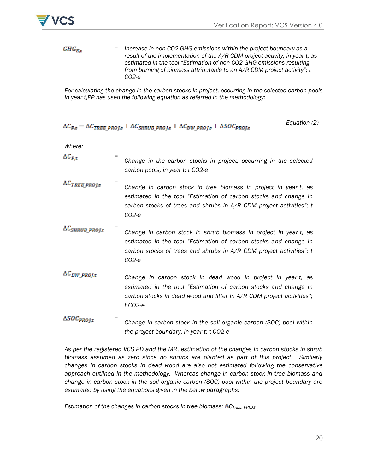

 $GHG_{E,t}$ *= Increase in non-CO2 GHG emissions within the project boundary as a result of the implementation of the A/R CDM project activity, in year t, as estimated in the tool "Estimation of non-CO2 GHG emissions resulting from burning of biomass attributable to an A/R CDM project activity"; t CO2-e*

*For calculating the change in the carbon stocks in project, occurring in the selected carbon pools in year t,PP has used the following equation as referred in the methodology:*

$$
\Delta C_{p,t} = \Delta C_{TREE\ PROlt} + \Delta C_{SHRUB\ PROlt} + \Delta C_{DW\ PROlt} + \Delta SO C_{PROlt}
$$
Equation (2)

*Where:*

- *=*  $\Delta C_{p,t}$ *Change in the carbon stocks in project, occurring in the selected carbon pools, in year t; t CO2-e*
- *=*  $\Delta C_{TREE\_PROJ,t}$ *Change in carbon stock in tree biomass in project in year t, as estimated in the tool "Estimation of carbon stocks and change in carbon stocks of trees and shrubs in A/R CDM project activities"; t CO2-e*
- $\Delta C_{SHRUB\_PROJ,t}$ *= Change in carbon stock in shrub biomass in project in year t, as estimated in the tool "Estimation of carbon stocks and change in carbon stocks of trees and shrubs in A/R CDM project activities"; t CO2-e*
- $\Delta C_{DW\_PROJ,t}$ *= Change in carbon stock in dead wood in project in year t, as estimated in the tool "Estimation of carbon stocks and change in carbon stocks in dead wood and litter in A/R CDM project activities"; t CO2-e*
- $\Delta SOC_{PROJ,t}$ *= Change in carbon stock in the soil organic carbon (SOC) pool within the project boundary, in year t; t CO2-e*

*As per the registered VCS PD and the MR, estimation of the changes in carbon stocks in shrub biomass assumed as zero since no shrubs are planted as part of this project. Similarly changes in carbon stocks in dead wood are also not estimated following the conservative approach outlined in the methodology. Whereas change in carbon stock in tree biomass and change in carbon stock in the soil organic carbon (SOC) pool within the project boundary are estimated by using the equations given in the below paragraphs:* 

**Estimation of the changes in carbon stocks in tree biomass: ΔC<sub>TREE\_PROJ,t</sub>**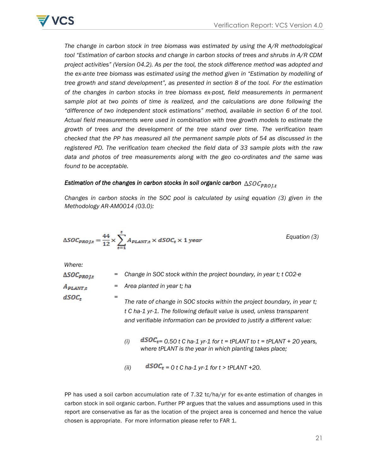

*The change in carbon stock in tree biomass was estimated by using the A/R methodological tool "Estimation of carbon stocks and change in carbon stocks of trees and shrubs in A/R CDM project activities" (Version 04.2). As per the tool, the stock difference method was adopted and the ex-ante tree biomass was estimated using the method given in "Estimation by modelling of tree growth and stand development", as presented in section 8 of the tool. For the estimation of the changes in carbon stocks in tree biomass ex-post, field measurements in permanent*  sample plot at two points of time is realized, and the calculations are done following the *"difference of two independent stock estimations" method, available in section 6 of the tool. Actual field measurements were used in combination with tree growth models to estimate the growth of trees and the development of the tree stand over time. The verification team checked that the PP has measured all the permanent sample plots of 54 as discussed in the registered PD. The verification team checked the field data of 33 sample plots with the raw data and photos of tree measurements along with the geo co-ordinates and the same was found to be acceptable.*

# *Estimation of the changes in carbon stocks in soil organic carbon*  $\triangle SOC_{PROI,t}$

*Changes in carbon stocks in the SOC pool is calculated by using equation (3) given in the Methodology AR-AM0014 (03.0):* 

$$
\Delta SOC_{PROJ,t} = \frac{44}{12} \times \sum_{t=1}^{t} A_{PLANT,t} \times dSOC_t \times 1 \text{ year}
$$
 *Equation (3)*

*Where:*

| $\Delta SOC_{PROJ,t}$  | Change in SOC stock within the project boundary, in year t; t CO2-e<br>=                                                                                                                                                       |
|------------------------|--------------------------------------------------------------------------------------------------------------------------------------------------------------------------------------------------------------------------------|
| $A_{\mathit{PLANT,t}}$ | Area planted in year t; ha<br>=                                                                                                                                                                                                |
| $dSOC_t$               | The rate of change in SOC stocks within the project boundary, in year t;<br>t C ha-1 yr-1. The following default value is used, unless transparent<br>and verifiable information can be provided to justify a different value: |
|                        | $dSOC_t = 0.50$ t C ha-1 yr-1 for t = tPLANT to t = tPLANT + 20 years,<br>(i)<br>where tPLANT is the year in which planting takes place;                                                                                       |
|                        | $dSOC_t = 0 t C$ ha-1 yr-1 for t > tPLANT +20.<br>(ii)                                                                                                                                                                         |

PP has used a soil carbon accumulation rate of 7.32 tc/ha/yr for ex-ante estimation of changes in carbon stock in soil organic carbon. Further PP argues that the values and assumptions used in this report are conservative as far as the location of the project area is concerned and hence the value chosen is appropriate. For more information please refer to FAR 1.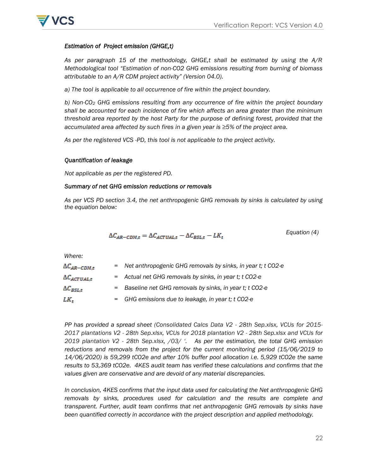

#### *Estimation of Project emission (GHGE,t)*

*As per paragraph 15 of the methodology, GHGE,t shall be estimated by using the A/R Methodological tool "Estimation of non-CO2 GHG emissions resulting from burning of biomass attributable to an A/R CDM project activity" (Version 04.0).* 

*a) The tool is applicable to all occurrence of fire within the project boundary.*

*b) Non-CO<sup>2</sup> GHG emissions resulting from any occurrence of fire within the project boundary shall be accounted for each incidence of fire which affects an area greater than the minimum threshold area reported by the host Party for the purpose of defining forest, provided that the accumulated area affected by such fires in a given year is ≥5% of the project area.* 

*As per the registered VCS -PD, this tool is not applicable to the project activity.*

#### *Quantification of leakage*

*Not applicable as per the registered PD.*

#### *Summary of net GHG emission reductions or removals*

*As per VCS PD section 3.4, the net anthropogenic GHG removals by sinks is calculated by using the equation below:*

$$
\Delta C_{AR-CDM,t} = \Delta C_{ACTUAL,t} - \Delta C_{BSL,t} - LK_t
$$
 *Equation (4)*

*Where:*

| $\Delta C_{AR-CDM,t}$ | = Net anthropogenic GHG removals by sinks, in year t; t CO2-e |
|-----------------------|---------------------------------------------------------------|
| $\Delta C_{ACTUAL,t}$ | = Actual net GHG removals by sinks, in year t; t CO2-e        |
| $\Delta C_{BSL.t}$    | = Baseline net GHG removals by sinks, in year t; t CO2-e      |
| LK <sub>t</sub>       | = GHG emissions due to leakage, in year t; t CO2-e            |

*PP has provided a spread sheet (Consolidated Calcs Data V2 - 28th Sep.xlsx, VCUs for 2015- 2017 plantations V2 - 28th Sep.xlsx, VCUs for 2018 plantation V2 - 28th Sep.xlsx and VCUs for 2019 plantation V2 - 28th Sep.xlsx, /03/ ". As per the estimation, the total GHG emission reductions and removals from the project for the current monitoring period (15/06/2019 to 14/06/2020) is 59,299 tCO2e and after 10% buffer pool allocation i.e. 5,929 tCO2e the same results to 53,369 tCO2e. 4KES audit team has verified these calculations and confirms that the values given are conservative and are devoid of any material discrepancies.* 

*In conclusion, 4KES confirms that the input data used for calculating the Net anthropogenic GHG removals by sinks, procedures used for calculation and the results are complete and transparent. Further, audit team confirms that net anthropogenic GHG removals by sinks have been quantified correctly in accordance with the project description and applied methodology.*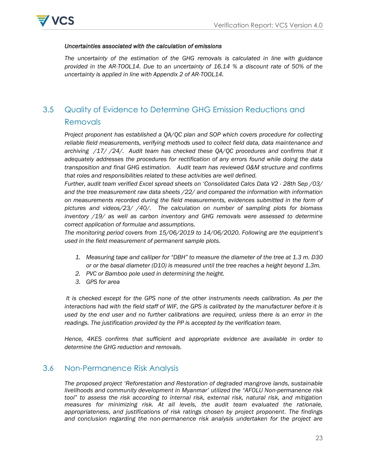

#### *Uncertainties associated with the calculation of emissions*

*The uncertainty of the estimation of the GHG removals is calculated in line with guidance provided in the AR-TOOL14. Due to an uncertainty of 16.14 % a discount rate of 50% of the uncertainty is applied in line with Appendix 2 of AR-TOOL14.*

# <span id="page-22-0"></span>3.5 Quality of Evidence to Determine GHG Emission Reductions and Removals

*Project proponent has established a QA/QC plan and SOP which covers procedure for collecting reliable field measurements, verifying methods used to collect field data, data maintenance and archiving /17/ /24/. Audit team has checked these QA/QC procedures and confirms that it adequately addresses the procedures for rectification of any errors found while doing the data transposition and final GHG estimation. Audit team has reviewed O&M structure and confirms that roles and responsibilities related to these activities are well defined.* 

*Further, audit team verified Excel spread sheets on "Consolidated Calcs Data V2 - 28th Sep /03/ and the tree measurement raw data sheets /22/ and compared the information with information on measurements recorded during the field measurements, evidences submitted in the form of pictures and videos/23/ /40/. The calculation on number of sampling plots for biomass*  inventory /19/ as well as carbon inventory and GHG removals were assessed to determine *correct application of formulae and assumptions.* 

*The monitoring period covers from 15/06/2019 to 14/06/2020. Following are the equipment"s used in the field measurement of permanent sample plots.* 

- *1. Measuring tape and calliper for "DBH" to measure the diameter of the tree at 1.3 m. D30 or or the basal diameter (D10) is measured until the tree reaches a height beyond 1.3m.*
- *2. PVC or Bamboo pole used in determining the height.*
- *3. GPS for area*

It is checked except for the GPS none of the other instruments needs calibration. As per the *interactions had with the field staff of WIF, the GPS is calibrated by the manufacturer before it is used by the end user and no further calibrations are required, unless there is an error in the readings. The justification provided by the PP is accepted by the verification team.*

*Hence, 4KES confirms that sufficient and appropriate evidence are available in order to determine the GHG reduction and removals.* 

## <span id="page-22-2"></span><span id="page-22-1"></span>3.6 Non-Permanence Risk Analysis

*The proposed project "Reforestation and Restoration of degraded mangrove lands, sustainable livelihoods and community development in Myanmar" utilized the "AFOLU Non-permanence risk tool" to assess the risk according to internal risk, external risk, natural risk, and mitigation measures for minimizing risk. At all levels, the audit team evaluated the rationale, appropriateness, and justifications of risk ratings chosen by project proponent. The findings and conclusion regarding the non-permanence risk analysis undertaken for the project are*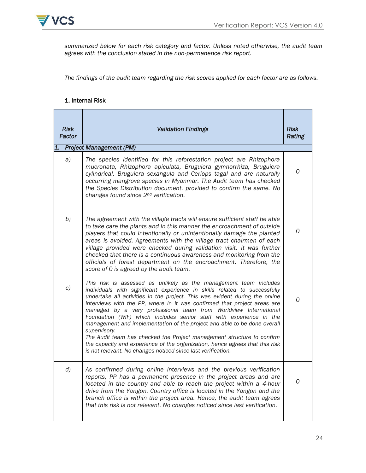

*summarized below for each risk category and factor. Unless noted otherwise, the audit team agrees with the conclusion stated in the non-permanence risk report.* 

*The findings of the audit team regarding the risk scores applied for each factor are as follows.*

#### 1. Internal Risk

| 1. | <b>Risk</b><br>Factor | <b>Validation Findings</b><br><b>Project Management (PM)</b>                                                                                                                                                                                                                                                                                                                                                                                                                                                                                                                                                                                                                                                                                                               | <b>Risk</b><br>Rating |
|----|-----------------------|----------------------------------------------------------------------------------------------------------------------------------------------------------------------------------------------------------------------------------------------------------------------------------------------------------------------------------------------------------------------------------------------------------------------------------------------------------------------------------------------------------------------------------------------------------------------------------------------------------------------------------------------------------------------------------------------------------------------------------------------------------------------------|-----------------------|
|    |                       |                                                                                                                                                                                                                                                                                                                                                                                                                                                                                                                                                                                                                                                                                                                                                                            |                       |
|    | a)                    | The species identified for this reforestation project are Rhizophora<br>mucronata, Rhizophora apiculata, Bruguiera gymnorrhiza, Bruguiera<br>cylindrical, Bruguiera sexangula and Ceriops tagal and are naturally<br>occurring mangrove species in Myanmar. The Audit team has checked<br>the Species Distribution document. provided to confirm the same. No<br>changes found since 2 <sup>nd</sup> verification.                                                                                                                                                                                                                                                                                                                                                         | 0                     |
|    | b)                    | The agreement with the village tracts will ensure sufficient staff be able<br>to take care the plants and in this manner the encroachment of outside<br>players that could intentionally or unintentionally damage the planted<br>areas is avoided. Agreements with the village tract chairmen of each<br>village provided were checked during validation visit. It was further<br>checked that there is a continuous awareness and monitoring from the<br>officials of forest department on the encroachment. Therefore, the<br>score of 0 is agreed by the audit team.                                                                                                                                                                                                   | 0                     |
|    | c)                    | This risk is assessed as unlikely as the management team includes<br>individuals with significant experience in skills related to successfully<br>undertake all activities in the project. This was evident during the online<br>interviews with the PP, where in it was confirmed that project areas are<br>managed by a very professional team from Worldview International<br>Foundation (WIF) which includes senior staff with experience in the<br>management and implementation of the project and able to be done overall<br>supervisory.<br>The Audit team has checked the Project management structure to confirm<br>the capacity and experience of the organization, hence agrees that this risk<br>is not relevant. No changes noticed since last verification. | 0                     |
|    | $\left( d \right)$    | As confirmed during online interviews and the previous verification<br>reports, PP has a permanent presence in the project areas and are<br>located in the country and able to reach the project within a 4-hour<br>drive from the Yangon. Country office is located in the Yangon and the<br>branch office is within the project area. Hence, the audit team agrees<br>that this risk is not relevant. No changes noticed since last verification.                                                                                                                                                                                                                                                                                                                        | 0                     |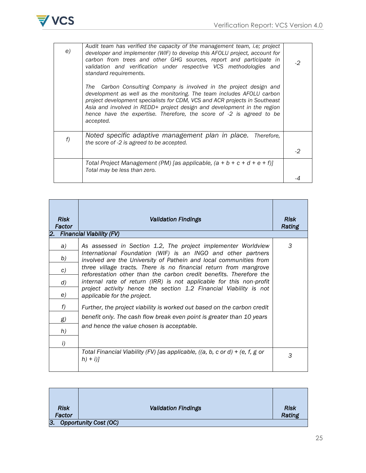

| e) | Audit team has verified the capacity of the management team, i.e; project<br>developer and implementer (WIF) to develop this AFOLU project, account for<br>carbon from trees and other GHG sources, report and participate in<br>validation and verification under respective VCS methodologies and<br>standard requirements.<br>Carbon Consulting Company is involved in the project design and<br>The<br>development as well as the monitoring. The team includes AFOLU carbon<br>project development specialists for CDM, VCS and ACR projects in Southeast<br>Asia and involved in REDD+ project design and development in the region<br>hence have the expertise. Therefore, the score of -2 is agreed to be<br>accepted. | -2   |
|----|--------------------------------------------------------------------------------------------------------------------------------------------------------------------------------------------------------------------------------------------------------------------------------------------------------------------------------------------------------------------------------------------------------------------------------------------------------------------------------------------------------------------------------------------------------------------------------------------------------------------------------------------------------------------------------------------------------------------------------|------|
| f) | Noted specific adaptive management plan in place. Therefore,<br>the score of -2 is agreed to be accepted.                                                                                                                                                                                                                                                                                                                                                                                                                                                                                                                                                                                                                      | $-2$ |
|    | Total Project Management (PM) [as applicable, (a + b + c + d + e + f)]<br>Total may be less than zero.                                                                                                                                                                                                                                                                                                                                                                                                                                                                                                                                                                                                                         |      |

| <b>Risk</b><br>Factor | <b>Validation Findings</b>                                                                                                             | <b>Risk</b><br>Rating |
|-----------------------|----------------------------------------------------------------------------------------------------------------------------------------|-----------------------|
|                       | 2. Financial Viability (FV)                                                                                                            |                       |
| a)                    | As assessed in Section 1.2, The project implementer Worldview                                                                          | 3                     |
| b)                    | International Foundation (WIF) is an INGO and other partners<br>involved are the University of Pathein and local communities from      |                       |
| c)                    | three village tracts. There is no financial return from mangrove<br>reforestation other than the carbon credit benefits. Therefore the |                       |
| d)                    | internal rate of return (IRR) is not applicable for this non-profit                                                                    |                       |
| e)                    | project activity hence the section 1.2 Financial Viability is not<br>applicable for the project.                                       |                       |
| f)                    | Further, the project viability is worked out based on the carbon credit                                                                |                       |
| g)                    | benefit only. The cash flow break even point is greater than 10 years                                                                  |                       |
| h)                    | and hence the value chosen is acceptable.                                                                                              |                       |
| i)                    |                                                                                                                                        |                       |
|                       | Total Financial Viability (FV) [as applicable, ((a, b, c or d) $+$ (e, f, g or<br>$h) + i$ ]                                           | 3                     |

| <b>Risk</b><br>Factor | <b>Validation Findings</b>   | <b>Risk</b><br>Rating |
|-----------------------|------------------------------|-----------------------|
| 3.                    | <b>Opportunity Cost (OC)</b> |                       |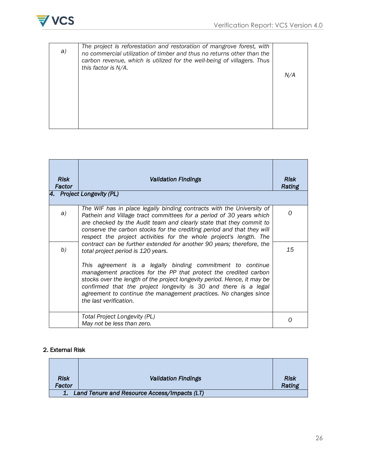



| The project is reforestation and restoration of mangrove forest, with<br>a)<br>no commercial utilization of timber and thus no returns other than the<br>carbon revenue, which is utilized for the well-being of villagers. Thus<br>this factor is N/A. | N/A |
|---------------------------------------------------------------------------------------------------------------------------------------------------------------------------------------------------------------------------------------------------------|-----|
|---------------------------------------------------------------------------------------------------------------------------------------------------------------------------------------------------------------------------------------------------------|-----|

| <b>Risk</b><br>Factor | <b>Validation Findings</b>                                                                                                                                                                                                                                                                                                                                                                                                                                                                 | <b>Risk</b><br>Rating |
|-----------------------|--------------------------------------------------------------------------------------------------------------------------------------------------------------------------------------------------------------------------------------------------------------------------------------------------------------------------------------------------------------------------------------------------------------------------------------------------------------------------------------------|-----------------------|
|                       | 4. Project Longevity (PL)                                                                                                                                                                                                                                                                                                                                                                                                                                                                  |                       |
| a)                    | The WIF has in place legally binding contracts with the University of<br>Pathein and Village tract committees for a period of 30 years which<br>are checked by the Audit team and clearly state that they commit to<br>conserve the carbon stocks for the crediting period and that they will<br>respect the project activities for the whole project's length. The                                                                                                                        | 0                     |
| b)                    | contract can be further extended for another 90 years; therefore, the<br>total project period is 120 years.<br>This agreement is a legally binding commitment to continue<br>management practices for the PP that protect the credited carbon<br>stocks over the length of the project longevity period. Hence, it may be<br>confirmed that the project longevity is 30 and there is a legal<br>agreement to continue the management practices. No changes since<br>the last verification. | 15                    |
|                       | <b>Total Project Longevity (PL)</b><br>May not be less than zero.                                                                                                                                                                                                                                                                                                                                                                                                                          | ∩                     |

## 2. External Risk

| <b>Risk</b><br>Factor                           | <b>Validation Findings</b> | <b>Risk</b><br>Rating |
|-------------------------------------------------|----------------------------|-----------------------|
|                                                 |                            |                       |
| 1. Land Tenure and Resource Access/Impacts (LT) |                            |                       |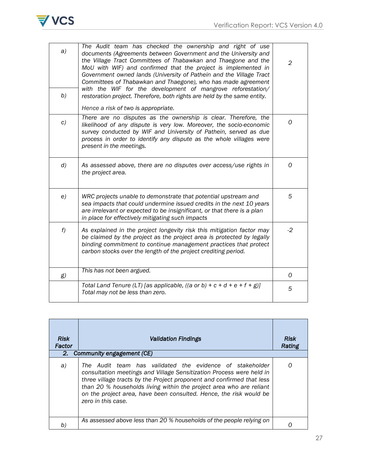

| a)<br>b)           | The Audit team has checked the ownership and right of use<br>documents (Agreements between Government and the University and<br>the Village Tract Committees of Thabawkan and Thaegone and the<br>MoU with WIF) and confirmed that the project is implemented in<br>Government owned lands (University of Pathein and the Village Tract<br>Committees of Thabawkan and Thaegone), who has made agreement<br>with the WIF for the development of mangrove reforestation/<br>restoration project. Therefore, both rights are held by the same entity.<br>Hence a risk of two is appropriate. | $\overline{2}$ |
|--------------------|--------------------------------------------------------------------------------------------------------------------------------------------------------------------------------------------------------------------------------------------------------------------------------------------------------------------------------------------------------------------------------------------------------------------------------------------------------------------------------------------------------------------------------------------------------------------------------------------|----------------|
| c)                 | There are no disputes as the ownership is clear. Therefore, the<br>likelihood of any dispute is very low. Moreover, the socio-economic<br>survey conducted by WIF and University of Pathein, served as due<br>process in order to identify any dispute as the whole villages were<br>present in the meetings.                                                                                                                                                                                                                                                                              | 0              |
| $\left( d \right)$ | As assessed above, there are no disputes over access/use rights in<br>the project area.                                                                                                                                                                                                                                                                                                                                                                                                                                                                                                    | 0              |
| e)                 | WRC projects unable to demonstrate that potential upstream and<br>sea impacts that could undermine issued credits in the next 10 years<br>are irrelevant or expected to be insignificant, or that there is a plan<br>in place for effectively mitigating such impacts                                                                                                                                                                                                                                                                                                                      | 5              |
| f)                 | As explained in the project longevity risk this mitigation factor may<br>be claimed by the project as the project area is protected by legally<br>binding commitment to continue management practices that protect<br>carbon stocks over the length of the project crediting period.                                                                                                                                                                                                                                                                                                       | $-2$           |
| g)                 | This has not been argued.                                                                                                                                                                                                                                                                                                                                                                                                                                                                                                                                                                  | 0              |
|                    | Total Land Tenure (LT) [as applicable, ((a or b) + c + d + e + f + g)]<br>Total may not be less than zero.                                                                                                                                                                                                                                                                                                                                                                                                                                                                                 | 5              |

| <b>Risk</b><br>Factor<br>2. | <b>Validation Findings</b><br>Community engagement (CE)                                                                                                                                                                                                                                                                                                                      | <b>Risk</b><br>Rating |
|-----------------------------|------------------------------------------------------------------------------------------------------------------------------------------------------------------------------------------------------------------------------------------------------------------------------------------------------------------------------------------------------------------------------|-----------------------|
| a)                          | The Audit team has validated the evidence of stakeholder<br>consultation meetings and Village Sensitization Process were held in<br>three village tracts by the Project proponent and confirmed that less<br>than 20 % households living within the project area who are reliant<br>on the project area, have been consulted. Hence, the risk would be<br>zero in this case. |                       |
| b)                          | As assessed above less than 20 % households of the people relying on                                                                                                                                                                                                                                                                                                         |                       |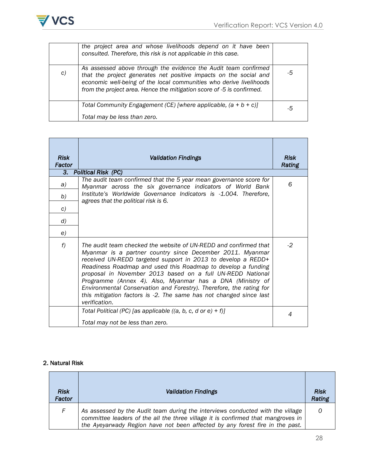

|    | the project area and whose livelihoods depend on it have been<br>consulted. Therefore, this risk is not applicable in this case.                                                                                                                                                     |    |
|----|--------------------------------------------------------------------------------------------------------------------------------------------------------------------------------------------------------------------------------------------------------------------------------------|----|
| C) | As assessed above through the evidence the Audit team confirmed<br>that the project generates net positive impacts on the social and<br>economic well-being of the local communities who derive livelihoods<br>from the project area. Hence the mitigation score of -5 is confirmed. | -5 |
|    | Total Community Engagement (CE) [where applicable, $(a + b + c)$ ]                                                                                                                                                                                                                   | -5 |
|    | Total may be less than zero.                                                                                                                                                                                                                                                         |    |

| <b>Risk</b><br>Factor | <b>Validation Findings</b>                                                                                                                                                                                                                                                                                                                                                                                                                                                                                                                             | <b>Risk</b><br>Rating |
|-----------------------|--------------------------------------------------------------------------------------------------------------------------------------------------------------------------------------------------------------------------------------------------------------------------------------------------------------------------------------------------------------------------------------------------------------------------------------------------------------------------------------------------------------------------------------------------------|-----------------------|
| 3.                    | Political Risk (PC)                                                                                                                                                                                                                                                                                                                                                                                                                                                                                                                                    |                       |
| a)                    | The audit team confirmed that the 5 year mean governance score for<br>Myanmar across the six governance indicators of World Bank                                                                                                                                                                                                                                                                                                                                                                                                                       | 6                     |
| b)                    | Institute's Worldwide Governance Indicators is -1.004. Therefore,<br>agrees that the political risk is 6.                                                                                                                                                                                                                                                                                                                                                                                                                                              |                       |
| c)                    |                                                                                                                                                                                                                                                                                                                                                                                                                                                                                                                                                        |                       |
| $\left( d \right)$    |                                                                                                                                                                                                                                                                                                                                                                                                                                                                                                                                                        |                       |
| e)                    |                                                                                                                                                                                                                                                                                                                                                                                                                                                                                                                                                        |                       |
| f)                    | The audit team checked the website of UN-REDD and confirmed that<br>Myanmar is a partner country since December 2011. Myanmar<br>received UN-REDD targeted support in 2013 to develop a REDD+<br>Readiness Roadmap and used this Roadmap to develop a funding<br>proposal in November 2013 based on a full UN-REDD National<br>Programme (Annex 4). Also, Myanmar has a DNA (Ministry of<br>Environmental Conservation and Forestry). Therefore, the rating for<br>this mitigation factors is -2. The same has not changed since last<br>verification. | -2                    |
|                       | Total Political (PC) [as applicable ((a, b, c, d or e) + f)]<br>Total may not be less than zero.                                                                                                                                                                                                                                                                                                                                                                                                                                                       | 4                     |

## 2. Natural Risk

| <b>Risk</b><br>Factor | Validation Findings                                                                                                                                                                                                                                | <b>Risk</b><br>Rating |
|-----------------------|----------------------------------------------------------------------------------------------------------------------------------------------------------------------------------------------------------------------------------------------------|-----------------------|
| F.                    | As assessed by the Audit team during the interviews conducted with the village<br>committee leaders of the all the three village it is confirmed that mangroves in<br>the Ayeyarwady Region have not been affected by any forest fire in the past. |                       |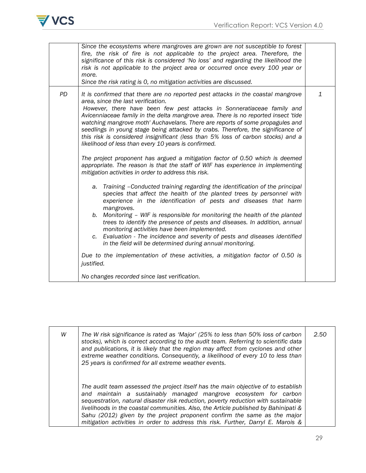

|    | Since the ecosystems where mangroves are grown are not susceptible to forest<br>fire, the risk of fire is not applicable to the project area. Therefore, the<br>significance of this risk is considered 'No loss' and regarding the likelihood the<br>risk is not applicable to the project area or occurred once every 100 year or<br>more.<br>Since the risk rating is 0, no mitigation activities are discussed.                                                                                                                                                                                                                                                                                                                                                                                                                                                                                                                                                                                                                                                                                                                                                                                                                                                                                                                                                                                                                                                                                                                                                                     |   |
|----|-----------------------------------------------------------------------------------------------------------------------------------------------------------------------------------------------------------------------------------------------------------------------------------------------------------------------------------------------------------------------------------------------------------------------------------------------------------------------------------------------------------------------------------------------------------------------------------------------------------------------------------------------------------------------------------------------------------------------------------------------------------------------------------------------------------------------------------------------------------------------------------------------------------------------------------------------------------------------------------------------------------------------------------------------------------------------------------------------------------------------------------------------------------------------------------------------------------------------------------------------------------------------------------------------------------------------------------------------------------------------------------------------------------------------------------------------------------------------------------------------------------------------------------------------------------------------------------------|---|
| PD | It is confirmed that there are no reported pest attacks in the coastal mangrove<br>area, since the last verification.<br>However, there have been few pest attacks in Sonneratiaceae family and<br>Avicenniaceae family in the delta mangrove area. There is no reported insect 'tide<br>watching mangrove moth' Auchavelans. There are reports of some propagules and<br>seedlings in young stage being attacked by crabs. Therefore, the significance of<br>this risk is considered insignificant (less than 5% loss of carbon stocks) and a<br>likelihood of less than every 10 years is confirmed.<br>The project proponent has argued a mitigation factor of 0.50 which is deemed<br>appropriate. The reason is that the staff of WIF has experience in implementing<br>mitigation activities in order to address this risk.<br>a. Training -Conducted training regarding the identification of the principal<br>species that affect the health of the planted trees by personnel with<br>experience in the identification of pests and diseases that harm<br>mangroves.<br>b. Monitoring – WIF is responsible for monitoring the health of the planted<br>trees to identify the presence of pests and diseases. In addition, annual<br>monitoring activities have been implemented.<br>Evaluation - The incidence and severity of pests and diseases identified<br>c.<br>in the field will be determined during annual monitoring.<br>Due to the implementation of these activities, a mitigation factor of 0.50 is<br>justified.<br>No changes recorded since last verification. | 1 |
|    |                                                                                                                                                                                                                                                                                                                                                                                                                                                                                                                                                                                                                                                                                                                                                                                                                                                                                                                                                                                                                                                                                                                                                                                                                                                                                                                                                                                                                                                                                                                                                                                         |   |

| W | The W risk significance is rated as 'Major' (25% to less than 50% loss of carbon<br>stocks), which is correct according to the audit team. Referring to scientific data<br>and publications, it is likely that the region may affect from cyclones and other<br>extreme weather conditions. Consequently, a likelihood of every 10 to less than<br>25 years is confirmed for all extreme weather events.                                                                                           | 2.50 |
|---|----------------------------------------------------------------------------------------------------------------------------------------------------------------------------------------------------------------------------------------------------------------------------------------------------------------------------------------------------------------------------------------------------------------------------------------------------------------------------------------------------|------|
|   | The audit team assessed the project itself has the main objective of to establish<br>and maintain a sustainably managed mangrove ecosystem for carbon<br>sequestration, natural disaster risk reduction, poverty reduction with sustainable<br>livelihoods in the coastal communities. Also, the Article published by Bahinipati &<br>Sahu (2012) given by the project proponent confirm the same as the major<br>mitigation activities in order to address this risk. Further, Darryl E. Marois & |      |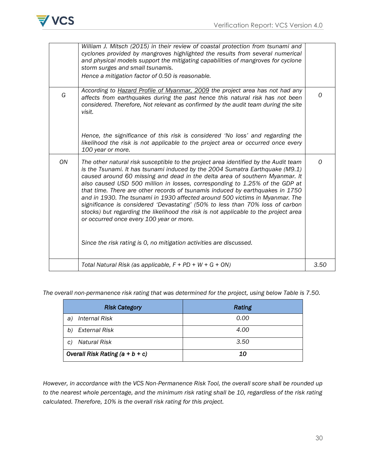

|    | William J. Mitsch (2015) in their review of coastal protection from tsunami and<br>cyclones provided by mangroves highlighted the results from several numerical<br>and physical models support the mitigating capabilities of mangroves for cyclone<br>storm surges and small tsunamis.<br>Hence a mitigation factor of 0.50 is reasonable.                                                                                                                                                                                                                                                                                                                                                                                                                                                  |      |
|----|-----------------------------------------------------------------------------------------------------------------------------------------------------------------------------------------------------------------------------------------------------------------------------------------------------------------------------------------------------------------------------------------------------------------------------------------------------------------------------------------------------------------------------------------------------------------------------------------------------------------------------------------------------------------------------------------------------------------------------------------------------------------------------------------------|------|
|    |                                                                                                                                                                                                                                                                                                                                                                                                                                                                                                                                                                                                                                                                                                                                                                                               |      |
| G  | According to Hazard Profile of Myanmar, 2009 the project area has not had any<br>affects from earthquakes during the past hence this natural risk has not been<br>considered. Therefore, Not relevant as confirmed by the audit team during the site<br>visit.                                                                                                                                                                                                                                                                                                                                                                                                                                                                                                                                | 0    |
|    | Hence, the significance of this risk is considered 'No loss' and regarding the<br>likelihood the risk is not applicable to the project area or occurred once every<br>100 year or more.                                                                                                                                                                                                                                                                                                                                                                                                                                                                                                                                                                                                       |      |
| ON | The other natural risk susceptible to the project area identified by the Audit team<br>is the Tsunami. It has tsunami induced by the 2004 Sumatra Earthquake (M9.1)<br>caused around 60 missing and dead in the delta area of southern Myanmar. It<br>also caused USD 500 million in losses, corresponding to 1.25% of the GDP at<br>that time. There are other records of tsunamis induced by earthquakes in 1750<br>and in 1930. The tsunami in 1930 affected around 500 victims in Myanmar. The<br>significance is considered 'Devastating' (50% to less than 70% loss of carbon<br>stocks) but regarding the likelihood the risk is not applicable to the project area<br>or occurred once every 100 year or more.<br>Since the risk rating is 0, no mitigation activities are discussed. | 0    |
|    | Total Natural Risk (as applicable, $F + PD + W + G + ON$ )                                                                                                                                                                                                                                                                                                                                                                                                                                                                                                                                                                                                                                                                                                                                    | 3.50 |

*The overall non-permanence risk rating that was determined for the project, using below Table is 7.50.*

| <b>Risk Category</b>              | Rating |
|-----------------------------------|--------|
| <b>Internal Risk</b><br>a)        | 0.00   |
| External Risk<br>b)               | 4.00   |
| <b>Natural Risk</b><br>C)         | 3.50   |
| Overall Risk Rating $(a + b + c)$ | 10     |

*However, in accordance with the VCS Non-Permanence Risk Tool, the overall score shall be rounded up to the nearest whole percentage, and the minimum risk rating shall be 10, regardless of the risk rating calculated. Therefore, 10% is the overall risk rating for this project.*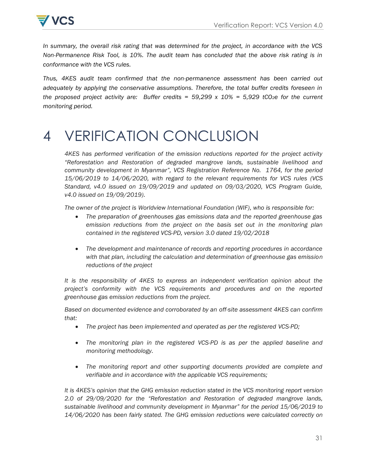



*In summary, the overall risk rating that was determined for the project, in accordance with the VCS Non-Permanence Risk Tool, is 10%. The audit team has concluded that the above risk rating is in conformance with the VCS rules.*

*Thus, 4KES audit team confirmed that the non-permanence assessment has been carried out adequately by applying the conservative assumptions. Therefore, the total buffer credits foreseen in the proposed project activity are: Buffer credits = 59,299 x 10% = 5,929 tCO2e for the current monitoring period.* 

# 4 VERIFICATION CONCLUSION

*4KES has performed verification of the emission reductions reported for the project activity "Reforestation and Restoration of degraded mangrove lands, sustainable livelihood and community development in Myanmar", VCS Registration Reference No. 1764, for the period 15/06/2019 to 14/06/2020, with regard to the relevant requirements for VCS rules (VCS Standard, v4.0 issued on 19/09/2019 and updated on 09/03/2020, VCS Program Guide, v4.0 issued on 19/09/2019).*

*The owner of the project is Worldview International Foundation (WIF), who is responsible for:*

- *The preparation of greenhouses gas emissions data and the reported greenhouse gas emission reductions from the project on the basis set out in the monitoring plan contained in the registered VCS-PD, version 3.0 dated 19/02/2018*
- *The development and maintenance of records and reporting procedures in accordance with that plan, including the calculation and determination of greenhouse gas emission reductions of the project*

*It is the responsibility of 4KES to express an independent verification opinion about the project"s conformity with the VCS requirements and procedures and on the reported greenhouse gas emission reductions from the project.*

*Based on documented evidence and corroborated by an off-site assessment 4KES can confirm that:*

- *The project has been implemented and operated as per the registered VCS-PD;*
- The monitoring plan in the registered VCS-PD is as per the applied baseline and *monitoring methodology.*
- *The monitoring report and other supporting documents provided are complete and verifiable and in accordance with the applicable VCS requirements;*

*It is 4KES"s opinion that the GHG emission reduction stated in the VCS monitoring report version 2.0 of 29/09/2020 for the "Reforestation and Restoration of degraded mangrove lands, sustainable livelihood and community development in Myanmar" for the period 15/06/2019 to 14/06/2020 has been fairly stated. The GHG emission reductions were calculated correctly on*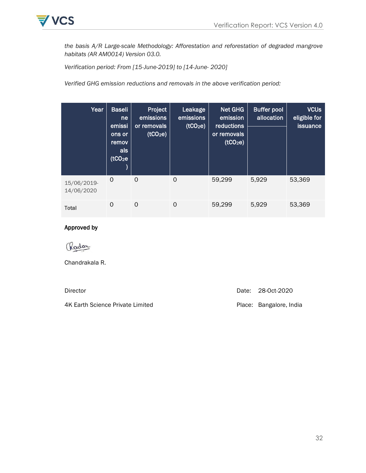

*the basis A/R Large-scale Methodology: Afforestation and reforestation of degraded mangrove habitats (AR AM0014) Version 03.0.* 

*Verification period: From [15-June-2019] to [14-June- 2020]*

*Verified GHG emission reductions and removals in the above verification period:*

| Year                      | <b>Baseli</b><br>ne<br>emissi<br>ons or<br>remov<br>als<br>(tCO <sub>2</sub> e) | Project<br>emissions<br>or removals<br>(tCO <sub>2</sub> e) | Leakage<br>emissions<br>(tCO <sub>2</sub> e) | <b>Net GHG</b><br>emission<br>reductions<br>or removals<br>(tCO <sub>2</sub> e) | <b>Buffer pool</b><br>allocation | <b>VCUs</b><br>eligible for<br><b>issuance</b> |
|---------------------------|---------------------------------------------------------------------------------|-------------------------------------------------------------|----------------------------------------------|---------------------------------------------------------------------------------|----------------------------------|------------------------------------------------|
| 15/06/2019-<br>14/06/2020 | $\Omega$                                                                        | 0                                                           | 0                                            | 59,299                                                                          | 5,929                            | 53,369                                         |
| Total                     | 0                                                                               | 0                                                           | 0                                            | 59,299                                                                          | 5,929                            | 53,369                                         |

#### Approved by

Rodon

Chandrakala R.

4K Earth Science Private Limited **Place: Bangalore, India** 

Director Director Date: 28-Oct-2020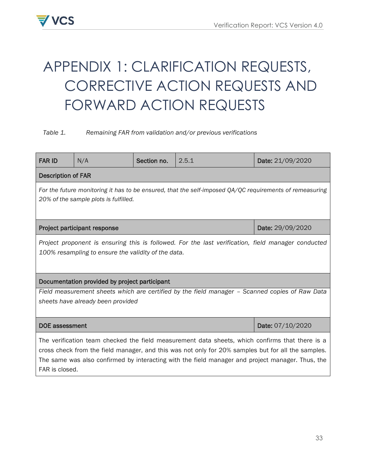

# <span id="page-32-0"></span>APPENDIX 1: CLARIFICATION REQUESTS, CORRECTIVE ACTION REQUESTS AND FORWARD ACTION REQUESTS

#### *Table 1. Remaining FAR from validation and/or previous verifications*

| <b>FAR ID</b>                                                                                                                                                                                                                                                                                                               | N/A                                           | Section no. | 2.5.1 | Date: 21/09/2020 |  |
|-----------------------------------------------------------------------------------------------------------------------------------------------------------------------------------------------------------------------------------------------------------------------------------------------------------------------------|-----------------------------------------------|-------------|-------|------------------|--|
| <b>Description of FAR</b>                                                                                                                                                                                                                                                                                                   |                                               |             |       |                  |  |
| For the future monitoring it has to be ensured, that the self-imposed QA/QC requirements of remeasuring<br>20% of the sample plots is fulfilled.                                                                                                                                                                            |                                               |             |       |                  |  |
|                                                                                                                                                                                                                                                                                                                             | Project participant response                  |             |       | Date: 29/09/2020 |  |
| Project proponent is ensuring this is followed. For the last verification, field manager conducted<br>100% resampling to ensure the validity of the data.                                                                                                                                                                   |                                               |             |       |                  |  |
|                                                                                                                                                                                                                                                                                                                             | Documentation provided by project participant |             |       |                  |  |
| Field measurement sheets which are certified by the field manager - Scanned copies of Raw Data<br>sheets have already been provided                                                                                                                                                                                         |                                               |             |       |                  |  |
| DOE assessment                                                                                                                                                                                                                                                                                                              |                                               |             |       | Date: 07/10/2020 |  |
| The verification team checked the field measurement data sheets, which confirms that there is a<br>cross check from the field manager, and this was not only for 20% samples but for all the samples.<br>The same was also confirmed by interacting with the field manager and project manager. Thus, the<br>FAR is closed. |                                               |             |       |                  |  |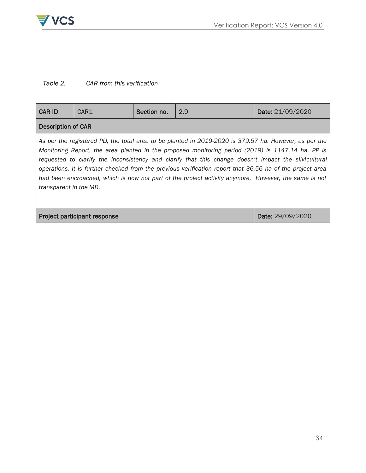

## *Table 2. CAR from this verification*

| <b>CAR ID</b>                                           | CAR1 | Section no. | 2.9                                                                                                                                                                                                                                                                                                                                                                                                                                                                                                                                     | Date: 21/09/2020 |  |  |  |
|---------------------------------------------------------|------|-------------|-----------------------------------------------------------------------------------------------------------------------------------------------------------------------------------------------------------------------------------------------------------------------------------------------------------------------------------------------------------------------------------------------------------------------------------------------------------------------------------------------------------------------------------------|------------------|--|--|--|
| <b>Description of CAR</b>                               |      |             |                                                                                                                                                                                                                                                                                                                                                                                                                                                                                                                                         |                  |  |  |  |
| transparent in the MR.                                  |      |             | As per the registered PD, the total area to be planted in 2019-2020 is 379.57 ha. However, as per the<br>Monitoring Report, the area planted in the proposed monitoring period (2019) is 1147.14 ha. PP is<br>requested to clarify the inconsistency and clarify that this change doesn't impact the silvicultural<br>operations. It is further checked from the previous verification report that 36.56 ha of the project area<br>had been encroached, which is now not part of the project activity anymore. However, the same is not |                  |  |  |  |
| <b>Project participant response</b><br>Date: 29/09/2020 |      |             |                                                                                                                                                                                                                                                                                                                                                                                                                                                                                                                                         |                  |  |  |  |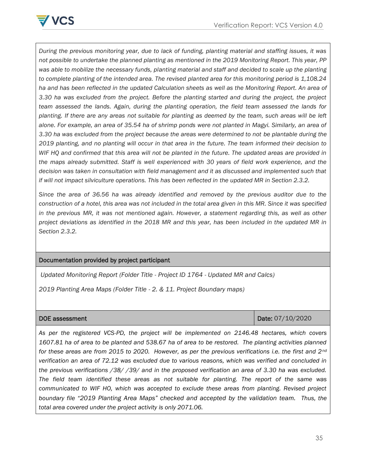

*During the previous monitoring year, due to lack of funding, planting material and staffing issues, it was not possible to undertake the planned planting as mentioned in the 2019 Monitoring Report. This year, PP*  was able to mobilize the necessary funds, planting material and staff and decided to scale up the planting *to complete planting of the intended area. The revised planted area for this monitoring period is 1,108.24 ha and has been reflected in the updated Calculation sheets as well as the Monitoring Report. An area of 3.30 ha was excluded from the project. Before the planting started and during the project, the project team assessed the lands. Again, during the planting operation, the field team assessed the lands for planting. If there are any areas not suitable for planting as deemed by the team, such areas will be left alone. For example, an area of 35.54 ha of shrimp ponds were not planted in Magyi. Similarly, an area of 3.30 ha was excluded from the project because the areas were determined to not be plantable during the 2019 planting, and no planting will occur in that area in the future. The team informed their decision to WIF HQ and confirmed that this area will not be planted in the future. The updated areas are provided in the maps already submitted. Staff is well experienced with 30 years of field work experience, and the*  decision was taken in consultation with field management and it as discussed and implemented such that *if will not impact silviculture operations. This has been reflected in the updated MR in Section 2.3.2.*

*Since the area of 36.56 ha was already identified and removed by the previous auditor due to the construction of a hotel, this area was not included in the total area given in this MR. Since it was specified in the previous MR, it was not mentioned again. However, a statement regarding this, as well as other project deviations as identified in the 2018 MR and this year, has been included in the updated MR in Section 2.3.2.*

#### Documentation provided by project participant

*Updated Monitoring Report (Folder Title - Project ID 1764 - Updated MR and Calcs)*

*2019 Planting Area Maps (Folder Title - 2. & 11. Project Boundary maps)*

| DOE assessment |  |
|----------------|--|
|----------------|--|

Date: 07/10/2020

*As per the registered VCS-PD, the project will be implemented on 2146.48 hectares, which covers 1607.81 ha of area to be planted and 538.67 ha of area to be restored. The planting activities planned for these areas are from 2015 to 2020. However, as per the previous verifications i.e. the first and 2nd verification an area of 72.12 was excluded due to various reasons, which was verified and concluded in the previous verifications /38/ /39/ and in the proposed verification an area of 3.30 ha was excluded. The field team identified these areas as not suitable for planting. The report of the same was communicated to WIF HO, which was accepted to exclude these areas from planting. Revised project boundary file "2019 Planting Area Maps" checked and accepted by the validation team. Thus, the total area covered under the project activity is only 2071.06.*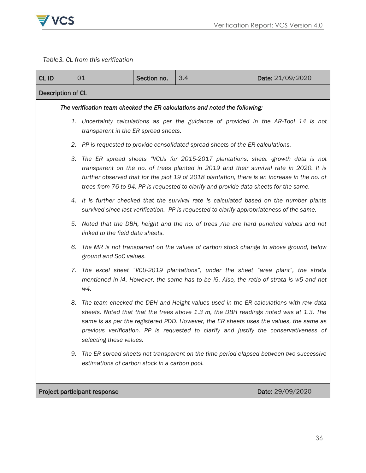

*Table3. CL from this verification*

| CL ID                                            | 01                                                                                                                                                                                                                                                                                                                                                                                                | Section no.                                                                                                                  | 3.4                                                                                                                                                                                   | Date: 21/09/2020 |  |  |  |  |
|--------------------------------------------------|---------------------------------------------------------------------------------------------------------------------------------------------------------------------------------------------------------------------------------------------------------------------------------------------------------------------------------------------------------------------------------------------------|------------------------------------------------------------------------------------------------------------------------------|---------------------------------------------------------------------------------------------------------------------------------------------------------------------------------------|------------------|--|--|--|--|
| Description of CL                                |                                                                                                                                                                                                                                                                                                                                                                                                   |                                                                                                                              |                                                                                                                                                                                       |                  |  |  |  |  |
|                                                  | The verification team checked the ER calculations and noted the following:                                                                                                                                                                                                                                                                                                                        |                                                                                                                              |                                                                                                                                                                                       |                  |  |  |  |  |
|                                                  |                                                                                                                                                                                                                                                                                                                                                                                                   | 1. Uncertainty calculations as per the guidance of provided in the AR-Tool 14 is not<br>transparent in the ER spread sheets. |                                                                                                                                                                                       |                  |  |  |  |  |
|                                                  |                                                                                                                                                                                                                                                                                                                                                                                                   |                                                                                                                              | 2. PP is requested to provide consolidated spread sheets of the ER calculations.                                                                                                      |                  |  |  |  |  |
|                                                  | The ER spread sheets "VCUs for 2015-2017 plantations, sheet -growth data is not<br>3.<br>transparent on the no. of trees planted in 2019 and their survival rate in 2020. It is<br>further observed that for the plot 19 of 2018 plantation, there is an increase in the no. of<br>trees from 76 to 94. PP is requested to clarify and provide data sheets for the same.                          |                                                                                                                              |                                                                                                                                                                                       |                  |  |  |  |  |
|                                                  |                                                                                                                                                                                                                                                                                                                                                                                                   |                                                                                                                              | 4. It is further checked that the survival rate is calculated based on the number plants<br>survived since last verification. PP is requested to clarify appropriateness of the same. |                  |  |  |  |  |
|                                                  |                                                                                                                                                                                                                                                                                                                                                                                                   | 5. Noted that the DBH, height and the no. of trees /ha are hard punched values and not<br>linked to the field data sheets.   |                                                                                                                                                                                       |                  |  |  |  |  |
|                                                  | 6.<br>ground and SoC values.                                                                                                                                                                                                                                                                                                                                                                      |                                                                                                                              | The MR is not transparent on the values of carbon stock change in above ground, below                                                                                                 |                  |  |  |  |  |
|                                                  | The excel sheet "VCU-2019 plantations", under the sheet "area plant", the strata<br>7.<br>mentioned in i4. However, the same has to be i5. Also, the ratio of strata is w5 and not<br>w4.                                                                                                                                                                                                         |                                                                                                                              |                                                                                                                                                                                       |                  |  |  |  |  |
|                                                  | The team checked the DBH and Height values used in the ER calculations with raw data<br>8.<br>sheets. Noted that that the trees above 1.3 m, the DBH readings noted was at 1.3. The<br>same is as per the registered PDD. However, the ER sheets uses the values, the same as<br>previous verification. PP is requested to clarify and justify the conservativeness of<br>selecting these values. |                                                                                                                              |                                                                                                                                                                                       |                  |  |  |  |  |
|                                                  | The ER spread sheets not transparent on the time period elapsed between two successive<br>9.<br>estimations of carbon stock in a carbon pool.                                                                                                                                                                                                                                                     |                                                                                                                              |                                                                                                                                                                                       |                  |  |  |  |  |
| Project participant response<br>Date: 29/09/2020 |                                                                                                                                                                                                                                                                                                                                                                                                   |                                                                                                                              |                                                                                                                                                                                       |                  |  |  |  |  |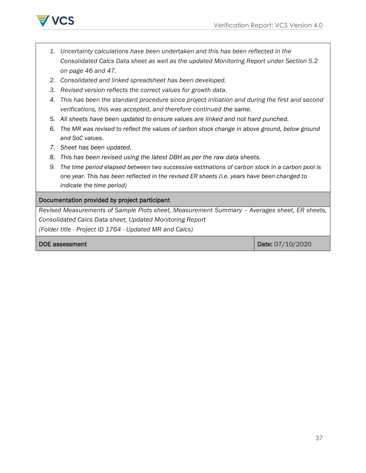

- *1. Uncertainty calculations have been undertaken and this has been reflected in the Consolidated Calcs Data sheet as well as the updated Monitoring Report under Section 5.2 on page 46 and 47.*
- *2. Consolidated and linked spreadsheet has been developed.*
- *3. Revised version reflects the correct values for growth data.*
- *4. This has been the standard procedure since project initiation and during the first and second verifications, this was accepted, and therefore continued the same.*
- *5. All sheets have been updated to ensure values are linked and not hard punched.*
- *6. The MR was revised to reflect the values of carbon stock change in above ground, below ground and SoC values.*
- *7. Sheet has been updated.*
- *8. This has been revised using the latest DBH as per the raw data sheets.*
- *9. The time period elapsed between two successive estimations of carbon stock in a carbon pool is one year. This has been reflected in the revised ER sheets (i.e. years have been changed to indicate the time period)*

#### Documentation provided by project participant

*Revised Measurements of Sample Plots sheet, Measurement Summary – Averages sheet, ER sheets, Consolidated Calcs Data sheet, Updated Monitoring Report (Folder title - Project ID 1764 - Updated MR and Calcs)*

**DOE assessment** Date: 07/10/2020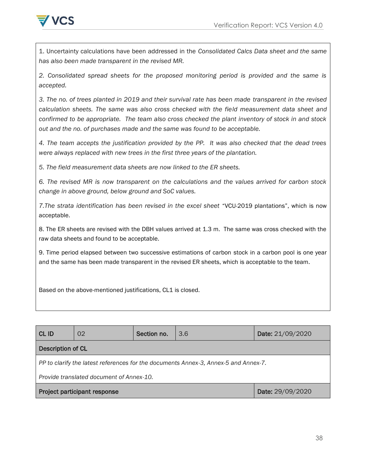

1. Uncertainty calculations have been addressed in the *Consolidated Calcs Data sheet and the same has also been made transparent in the revised MR.*

*2. Consolidated spread sheets for the proposed monitoring period is provided and the same is accepted.*

*3. The no. of trees planted in 2019 and their survival rate has been made transparent in the revised calculation sheets. The same was also cross checked with the field measurement data sheet and confirmed to be appropriate. The team also cross checked the plant inventory of stock in and stock out and the no. of purchases made and the same was found to be acceptable.*

*4. The team accepts the justification provided by the PP. It was also checked that the dead trees were always replaced with new trees in the first three years of the plantation.*

*5. The field measurement data sheets are now linked to the ER sheets.*

*6. The revised MR is now transparent on the calculations and the values arrived for carbon stock change in above ground, below ground and SoC values.*

*7.The strata identification has been revised in the excel sheet* "VCU-2019 plantations", which is now acceptable.

8. The ER sheets are revised with the DBH values arrived at 1.3 m. The same was cross checked with the raw data sheets and found to be acceptable.

9. Time period elapsed between two successive estimations of carbon stock in a carbon pool is one year and the same has been made transparent in the revised ER sheets, which is acceptable to the team.

Based on the above-mentioned justifications, CL1 is closed.

| CL ID                                                                               | 02 | Section no. | 3.6 | Date: 21/09/2020 |  |  |  |
|-------------------------------------------------------------------------------------|----|-------------|-----|------------------|--|--|--|
| <b>Description of CL</b>                                                            |    |             |     |                  |  |  |  |
| PP to clarify the latest references for the documents Annex-3, Annex-5 and Annex-7. |    |             |     |                  |  |  |  |
| Provide translated document of Annex-10.                                            |    |             |     |                  |  |  |  |
| Date: 29/09/2020<br>Project participant response                                    |    |             |     |                  |  |  |  |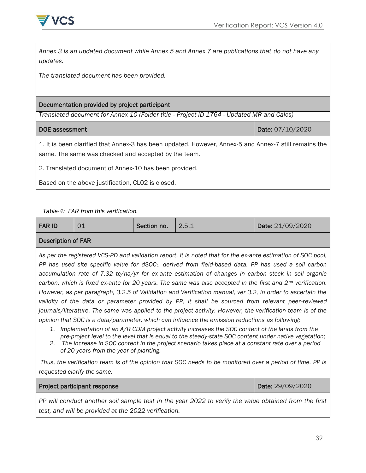

*Annex 3 is an updated document while Annex 5 and Annex 7 are publications that do not have any updates.*

*The translated document has been provided.*

#### Documentation provided by project participant

*Translated document for Annex 10 (Folder title - Project ID 1764 - Updated MR and Calcs)*

DOE assessment Date: 07/10/2020

1. It is been clarified that Annex-3 has been updated. However, Annex-5 and Annex-7 still remains the same. The same was checked and accepted by the team.

2. Translated document of Annex-10 has been provided.

Based on the above justification, CL02 is closed.

*Table-4: FAR from this verification.*

| <b>FAR ID</b>                                                                                                                                                                                                                                                                                                                                                                                                                                                                                                                                                    | 01 | Section no. | 2.5.1 | Date: 21/09/2020 |  |  |  |  |
|------------------------------------------------------------------------------------------------------------------------------------------------------------------------------------------------------------------------------------------------------------------------------------------------------------------------------------------------------------------------------------------------------------------------------------------------------------------------------------------------------------------------------------------------------------------|----|-------------|-------|------------------|--|--|--|--|
| <b>Description of FAR</b>                                                                                                                                                                                                                                                                                                                                                                                                                                                                                                                                        |    |             |       |                  |  |  |  |  |
| As per the registered VCS-PD and validation report, it is noted that for the ex-ante estimation of SOC pool,<br>PP has used site specific value for $dSOC_t$ , derived from field-based data. PP has used a soil carbon<br>accumulation rate of 7.32 tc/ha/yr for ex-ante estimation of changes in carbon stock in soil organic<br>carbon, which is fixed ex-ante for 20 years. The same was also accepted in the first and $2^{nd}$ verification.<br>However, as per paragraph, 3.2.5 of Validation and Verification manual, ver 3.2, in order to ascertain the |    |             |       |                  |  |  |  |  |
| validity of the data or parameter provided by PP, it shall be sourced from relevant peer-reviewed<br>journals/literature. The same was applied to the project activity. However, the verification team is of the                                                                                                                                                                                                                                                                                                                                                 |    |             |       |                  |  |  |  |  |

*opinion that SOC is a data/parameter, which can influence the emission reductions as following:*

- *1. Implementation of an A/R CDM project activity increases the SOC content of the lands from the pre-project level to the level that is equal to the steady-state SOC content under native vegetation;*
- *2. The increase in SOC content in the project scenario takes place at a constant rate over a period of 20 years from the year of planting.*

*Thus, the verification team is of the opinion that SOC needs to be monitored over a period of time. PP is requested clarify the same.* 

Project participant response Date: 29/09/2020

*PP will conduct another soil sample test in the year 2022 to verify the value obtained from the first test, and will be provided at the 2022 verification.*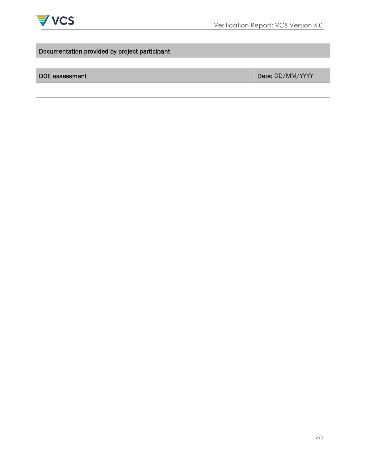

| Documentation provided by project participant |  |  |  |  |  |
|-----------------------------------------------|--|--|--|--|--|
|                                               |  |  |  |  |  |
| Date: DD/MM/YYYY                              |  |  |  |  |  |
|                                               |  |  |  |  |  |
|                                               |  |  |  |  |  |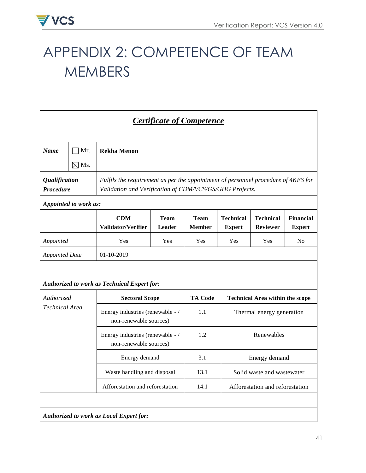# APPENDIX 2: COMPETENCE OF TEAM **MEMBERS**

| <b>Certificate of Competence</b>    |                                                                                                                                                                                                                   |                                                            |      |                |                                 |                                        |    |  |  |
|-------------------------------------|-------------------------------------------------------------------------------------------------------------------------------------------------------------------------------------------------------------------|------------------------------------------------------------|------|----------------|---------------------------------|----------------------------------------|----|--|--|
| <b>Name</b>                         | Mr.                                                                                                                                                                                                               | <b>Rekha Menon</b>                                         |      |                |                                 |                                        |    |  |  |
|                                     | $\boxtimes$ Ms.<br><i><b>Qualification</b></i><br>Fulfils the requirement as per the appointment of personnel procedure of 4KES for<br>Procedure<br>Validation and Verification of CDM/VCS/GS/GHG Projects.       |                                                            |      |                |                                 |                                        |    |  |  |
|                                     | Appointed to work as:                                                                                                                                                                                             |                                                            |      |                |                                 |                                        |    |  |  |
|                                     | <b>Technical</b><br><b>Technical</b><br><b>Financial</b><br><b>CDM</b><br><b>Team</b><br><b>Team</b><br>Validator/Verifier<br><b>Leader</b><br><b>Member</b><br><b>Reviewer</b><br><b>Expert</b><br><b>Expert</b> |                                                            |      |                |                                 |                                        |    |  |  |
| Appointed                           |                                                                                                                                                                                                                   | Yes                                                        | Yes  | Yes            | Yes                             | Yes                                    | No |  |  |
| 01-10-2019<br><b>Appointed Date</b> |                                                                                                                                                                                                                   |                                                            |      |                |                                 |                                        |    |  |  |
|                                     |                                                                                                                                                                                                                   | <b>Authorized to work as Technical Expert for:</b>         |      |                |                                 |                                        |    |  |  |
| Authorized                          |                                                                                                                                                                                                                   | <b>Sectoral Scope</b>                                      |      | <b>TA Code</b> |                                 | <b>Technical Area within the scope</b> |    |  |  |
| <b>Technical Area</b>               |                                                                                                                                                                                                                   | Energy industries (renewable - /<br>non-renewable sources) |      | 1.1            |                                 | Thermal energy generation              |    |  |  |
|                                     |                                                                                                                                                                                                                   | Energy industries (renewable - /<br>non-renewable sources) |      | 1.2            |                                 | Renewables                             |    |  |  |
|                                     |                                                                                                                                                                                                                   | Energy demand                                              |      | 3.1            | Energy demand                   |                                        |    |  |  |
|                                     |                                                                                                                                                                                                                   | Waste handling and disposal                                |      | 13.1           |                                 | Solid waste and wastewater             |    |  |  |
| Afforestation and reforestation     |                                                                                                                                                                                                                   |                                                            | 14.1 |                | Afforestation and reforestation |                                        |    |  |  |
|                                     |                                                                                                                                                                                                                   |                                                            |      |                |                                 |                                        |    |  |  |
|                                     |                                                                                                                                                                                                                   | Authorized to work as Local Expert for:                    |      |                |                                 |                                        |    |  |  |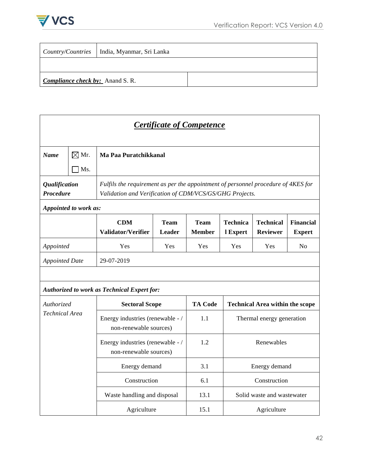

|                                         | <i>Country/Countries</i>   India, Myanmar, Sri Lanka |  |  |
|-----------------------------------------|------------------------------------------------------|--|--|
|                                         |                                                      |  |  |
| <b>Compliance check by:</b> Anand S. R. |                                                      |  |  |

| <b>Certificate of Competence</b>                                                                |                                                                                                                                                                                                      |                                                            |     |              |     |                            |    |  |  |
|-------------------------------------------------------------------------------------------------|------------------------------------------------------------------------------------------------------------------------------------------------------------------------------------------------------|------------------------------------------------------------|-----|--------------|-----|----------------------------|----|--|--|
| <b>Name</b>                                                                                     | $\boxtimes$ Mr.                                                                                                                                                                                      | Ma Paa Puratchikkanal                                      |     |              |     |                            |    |  |  |
|                                                                                                 | Ms.                                                                                                                                                                                                  |                                                            |     |              |     |                            |    |  |  |
|                                                                                                 | <b>Qualification</b><br>Fulfils the requirement as per the appointment of personnel procedure of 4KES for<br><b>Procedure</b><br>Validation and Verification of CDM/VCS/GS/GHG Projects.             |                                                            |     |              |     |                            |    |  |  |
|                                                                                                 | Appointed to work as:                                                                                                                                                                                |                                                            |     |              |     |                            |    |  |  |
|                                                                                                 | <b>CDM</b><br><b>Team</b><br><b>Team</b><br><b>Technica</b><br><b>Technical</b><br><b>Financial</b><br>Validator/Verifier<br>Leader<br><b>Member</b><br><b>Reviewer</b><br>l Expert<br><b>Expert</b> |                                                            |     |              |     |                            |    |  |  |
| Appointed                                                                                       |                                                                                                                                                                                                      | Yes                                                        | Yes | Yes          | Yes | Yes                        | No |  |  |
|                                                                                                 | 29-07-2019<br><b>Appointed Date</b>                                                                                                                                                                  |                                                            |     |              |     |                            |    |  |  |
|                                                                                                 |                                                                                                                                                                                                      |                                                            |     |              |     |                            |    |  |  |
|                                                                                                 |                                                                                                                                                                                                      | <b>Authorized to work as Technical Expert for:</b>         |     |              |     |                            |    |  |  |
| <b>TA Code</b><br>Authorized<br><b>Sectoral Scope</b><br><b>Technical Area within the scope</b> |                                                                                                                                                                                                      |                                                            |     |              |     |                            |    |  |  |
| <b>Technical Area</b>                                                                           |                                                                                                                                                                                                      | Energy industries (renewable - /<br>non-renewable sources) |     | 1.1          |     | Thermal energy generation  |    |  |  |
|                                                                                                 |                                                                                                                                                                                                      | Energy industries (renewable - /<br>non-renewable sources) |     | 1.2          |     | Renewables                 |    |  |  |
|                                                                                                 |                                                                                                                                                                                                      | Energy demand                                              |     | 3.1          |     | Energy demand              |    |  |  |
| Construction                                                                                    |                                                                                                                                                                                                      | 6.1                                                        |     | Construction |     |                            |    |  |  |
|                                                                                                 |                                                                                                                                                                                                      | Waste handling and disposal                                |     | 13.1         |     | Solid waste and wastewater |    |  |  |
|                                                                                                 | Agriculture<br>15.1<br>Agriculture                                                                                                                                                                   |                                                            |     |              |     |                            |    |  |  |